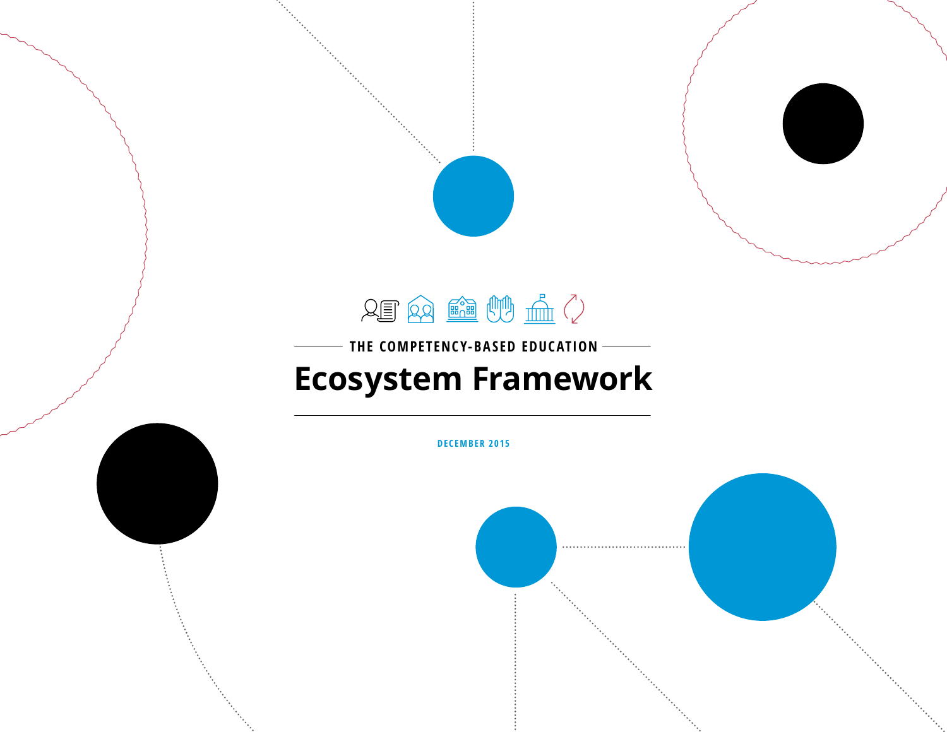

# THE COMPETENCY-BASED EDUCATION -**[Ecosystem Framework](#page-1-0)**

<span id="page-0-0"></span>

**DECEMBER 2015**

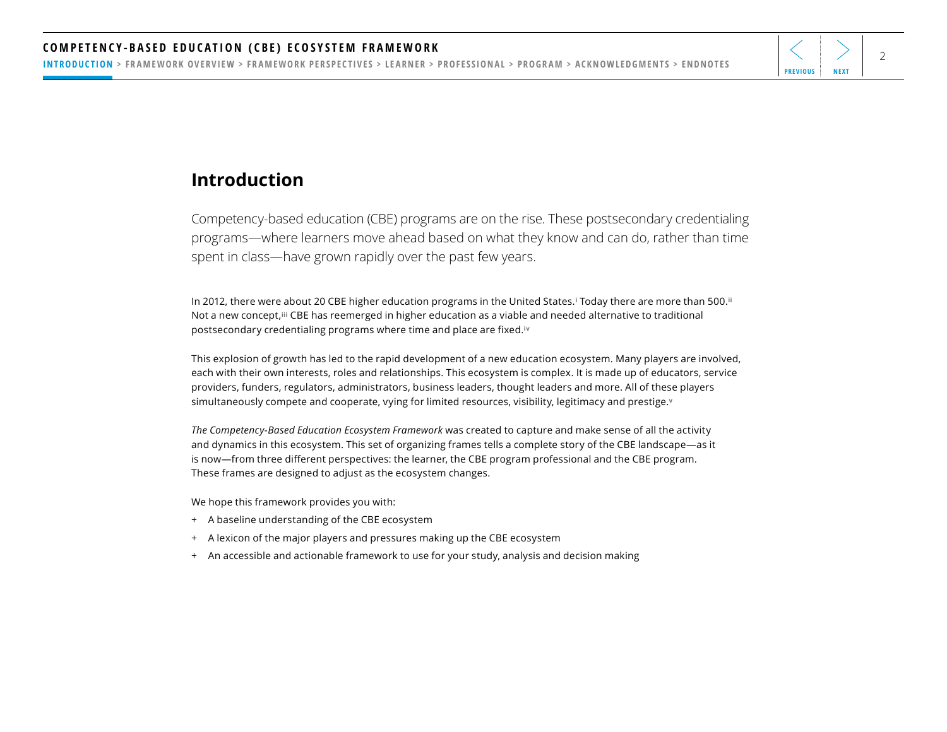<span id="page-1-0"></span>INTRODUCTION > [FRAMEWORK OVERVIEW](#page-2-0) > [FRAMEWORK PERSPECTIVES](#page-3-0) > [LEARNER](#page-4-0) > [PROFESSIONAL](#page-11-0) > [PROGRAM](#page-18-0) > [ACKNOWLEDGMENTS](#page-25-0) > [ENDNOTES](#page-26-0)

### **Introduction**

Competency-based education (CBE) programs are on the rise. These postsecondary credentialing programs—where learners move ahead based on what they know and can do, rather than time spent in class—have grown rapidly over the past few years.

In 2012, there were about 20 CBE higher education programs in the United States.**[i](#page-26-0)** Today there are more than 500.**[ii](#page-26-0)** Not a new concept,**[iii](#page-26-0)** CBE has reemerged in higher education as a viable and needed alternative to traditional postsecondary credentialing programs where time and place are fixed.**[iv](#page-26-0)**

This explosion of growth has led to the rapid development of a new education ecosystem. Many players are involved, each with their own interests, roles and relationships. This ecosystem is complex. It is made up of educators, service providers, funders, regulators, administrators, business leaders, thought leaders and more. All of these players simultaneously compete and cooperate, vying for limited resources, visibility, legitimacy and prestige.**[v](#page-26-0)**

*The Competency-Based Education Ecosystem Framework* was created to capture and make sense of all the activity and dynamics in this ecosystem. This set of organizing frames tells a complete story of the CBE landscape—as it is now—from three different perspectives: the learner, the CBE program professional and the CBE program. These frames are designed to adjust as the ecosystem changes.

We hope this framework provides you with:

- + A baseline understanding of the CBE ecosystem
- + A lexicon of the major players and pressures making up the CBE ecosystem
- + An accessible and actionable framework to use for your study, analysis and decision making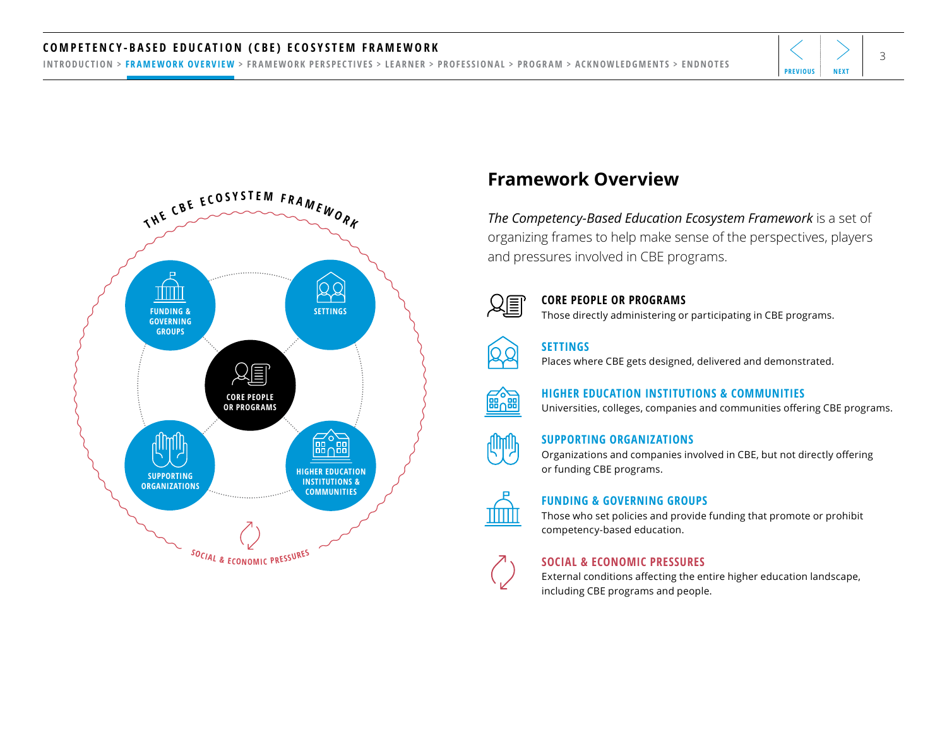#### <span id="page-2-0"></span>COMPETENCY-BASED EDUCATION (CBE) ECOSYSTEM FRAMEWORK  $\left|\left\langle \right. \right. \right|$

[INTRODUCTION](#page-1-0) > FRAMEWORK OVERVIEW > [FRAMEWORK PERSPECTIVES](#page-3-0) > [LEARNER](#page-4-0) > [PROFESSIONAL](#page-11-0) > [PROGRAM](#page-18-0) > [ACKNOWLEDGMENTS](#page-25-0) > [ENDNOTES](#page-26-0)



## **Framework Overview**

*The Competency-Based Education Ecosystem Framework* is a set of organizing frames to help make sense of the perspectives, players and pressures involved in CBE programs.



#### **CORE PEOPLE OR PROGRAMS**

Those directly administering or participating in CBE programs.



#### **SETTINGS**

Places where CBE gets designed, delivered and demonstrated.



**HIGHER EDUCATION INSTITUTIONS & COMMUNITIES**  Universities, colleges, companies and communities offering CBE programs.

#### **SUPPORTING ORGANIZATIONS**

Organizations and companies involved in CBE, but not directly offering or funding CBE programs.



#### **FUNDING & GOVERNING GROUPS**

Those who set policies and provide funding that promote or prohibit competency-based education.

#### **SOCIAL & ECONOMIC PRESSURES**

External conditions affecting the entire higher education landscape, including CBE programs and people.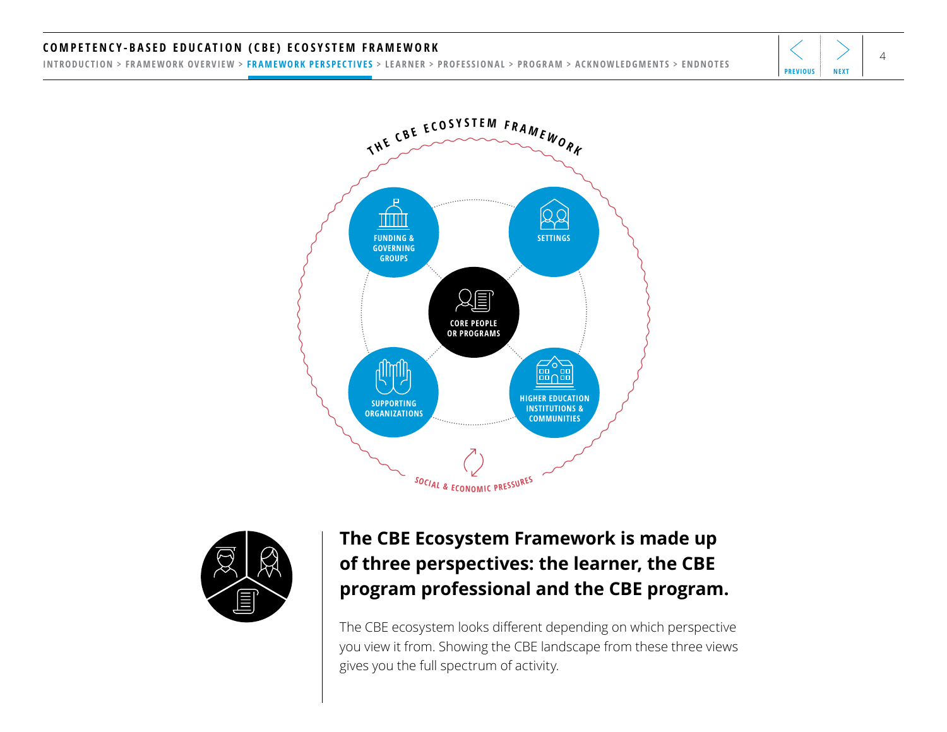#### <span id="page-3-0"></span><code>COMPETENCY-BASED EDUCATION</code> (CBE) ECOSYSTEM FRAMEWORK  $\left|\left. \left\langle \right. \right. \right|_{4}$

[INTRODUCTION](#page-1-0) > [FRAMEWORK OVERVIEW](#page-2-0) > FRAMEWORK PERSPECTIVES > [LEARNER](#page-4-0) > [PROFESSIONAL](#page-11-0) > [PROGRAM](#page-18-0) > [ACKNOWLEDGMENTS](#page-25-0) > [ENDNOTES](#page-26-0)





## **The CBE Ecosystem Framework is made up of three perspectives: the learner, the CBE program professional and the CBE program.**

The CBE ecosystem looks different depending on which perspective you view it from. Showing the CBE landscape from these three views gives you the full spectrum of activity.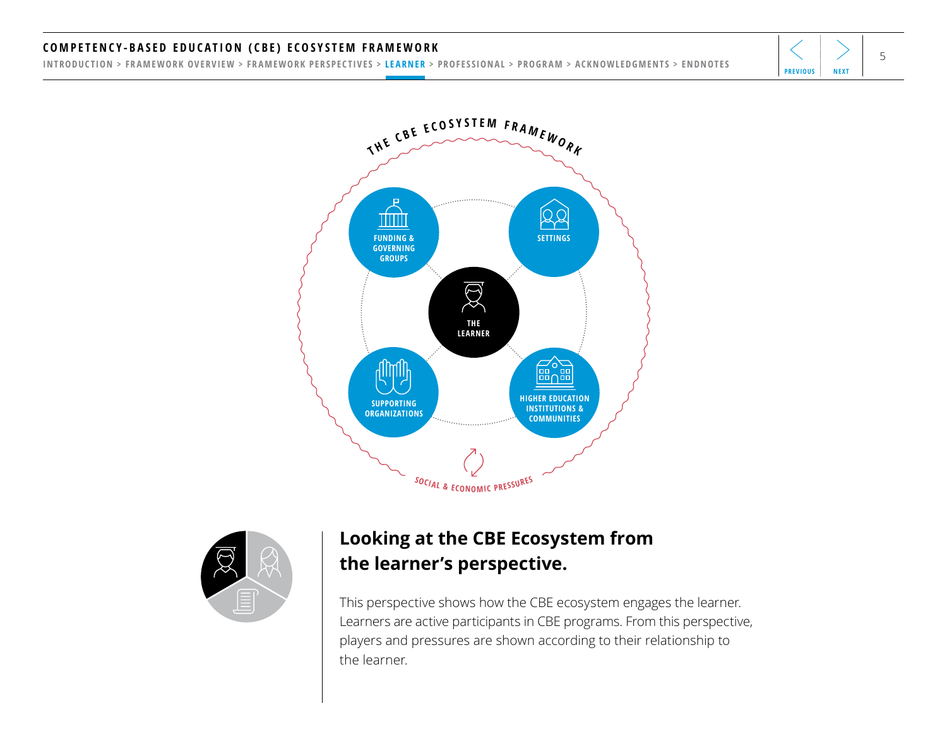#### <span id="page-4-0"></span>COMPETENCY-BASED EDUCATION (CBE) ECOSYSTEM FRAMEWORK  $\left|\left<\right>\right>$   $\right|$

[INTRODUCTION](#page-1-0) > [FRAMEWORK OVERVIEW](#page-2-0) > [FRAMEWORK PERSPECTIVES](#page-3-0) > LEARNER > [PROFESSIONAL](#page-11-0) > [PROGRAM](#page-18-0) > [ACKNOWLEDGMENTS](#page-25-0) > [ENDNOTES](#page-26-0)





## **Looking at the CBE Ecosystem from the learner's perspective.**

This perspective shows how the CBE ecosystem engages the learner. Learners are active participants in CBE programs. From this perspective, players and pressures are shown according to their relationship to the learner.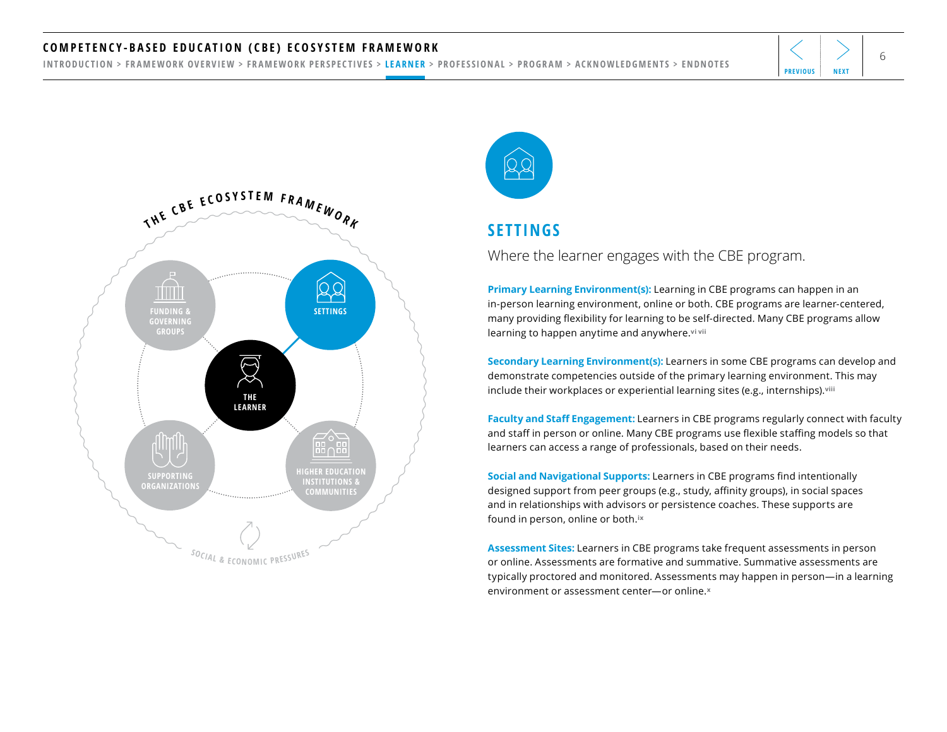#### <span id="page-5-0"></span><code>COMPETENCY-BASED EDUCATION</code> (CBE) ECOSYSTEM FRAMEWORK  $\left|\left. \left\langle \right. \right. \right| \right.$

[INTRODUCTION](#page-1-0) > [FRAMEWORK OVERVIEW](#page-2-0) > [FRAMEWORK PERSPECTIVES](#page-3-0) > [LEARNER](#page-4-0) > [PROFESSIONAL](#page-11-0) > [PROGRAM](#page-18-0) > [ACKNOWLEDGMENTS](#page-25-0) > [ENDNOTES](#page-26-0)







### **SETTINGS**

Where the learner engages with the CBE program.

**Primary Learning Environment(s):** Learning in CBE programs can happen in an in-person learning environment, online or both. CBE programs are learner-centered, many providing flexibility for learning to be self-directed. Many CBE programs allow learning to happen anytime and anywhere.**[vi vii](#page-26-0)** 

**Secondary Learning Environment(s):** Learners in some CBE programs can develop and demonstrate competencies outside of the primary learning environment. This may include their workplaces or experiential learning sites (e.g., internships).**[viii](#page-26-0)**

**Faculty and Staff Engagement:** Learners in CBE programs regularly connect with faculty and staff in person or online. Many CBE programs use flexible staffing models so that learners can access a range of professionals, based on their needs.

**Social and Navigational Supports:** Learners in CBE programs find intentionally designed support from peer groups (e.g., study, affinity groups), in social spaces and in relationships with advisors or persistence coaches. These supports are found in person, online or both.**[ix](#page-26-0)**

**Assessment Sites:** Learners in CBE programs take frequent assessments in person or online. Assessments are formative and summative. Summative assessments are typically proctored and monitored. Assessments may happen in person—in a learning environment or assessment center—or online.**[x](#page-26-0)**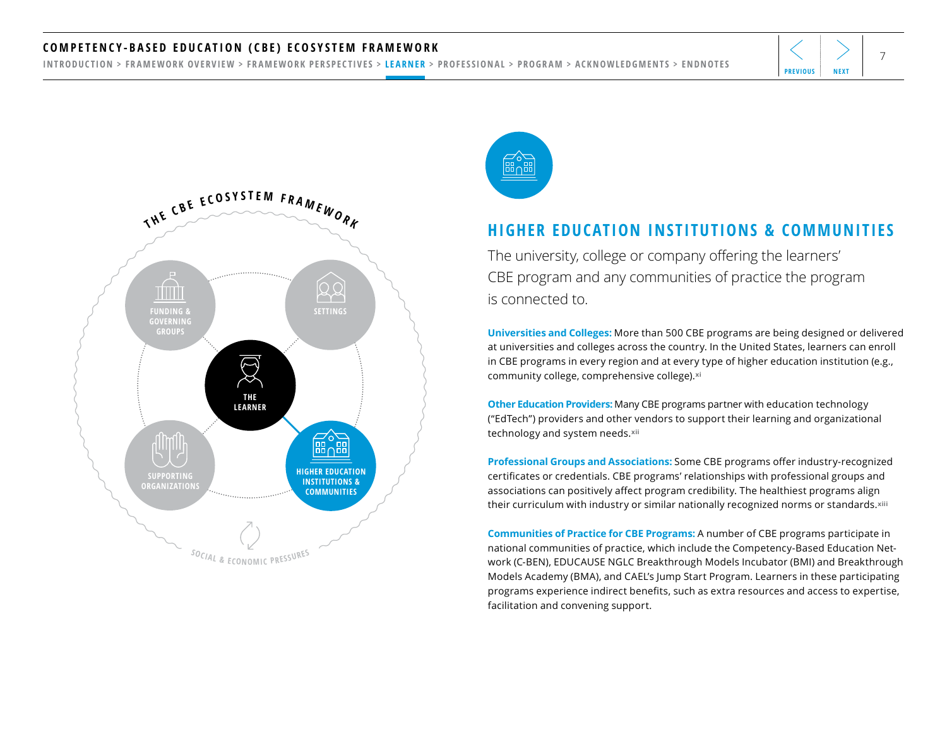#### <span id="page-6-0"></span><code>COMPETENCY-BASED EDUCATION</code> (CBE) ECOSYSTEM FRAMEWORK  $\left|\left<\right>\right>$   $\right|$

[INTRODUCTION](#page-1-0) > [FRAMEWORK OVERVIEW](#page-2-0) > [FRAMEWORK PERSPECTIVES](#page-3-0) > [LEARNER](#page-4-0) > [PROFESSIONAL](#page-11-0) > [PROGRAM](#page-18-0) > [ACKNOWLEDGMENTS](#page-25-0) > [ENDNOTES](#page-26-0)





### **HIGHER EDUCATION INSTITUTIONS & COMMUNITIES**

The university, college or company offering the learners' CBE program and any communities of practice the program is connected to.

**Universities and Colleges:** More than 500 CBE programs are being designed or delivered at universities and colleges across the country. In the United States, learners can enroll in CBE programs in every region and at every type of higher education institution (e.g., community college, comprehensive college).**[xi](#page-26-0)**

**Other Education Providers:** Many CBE programs partner with education technology ("EdTech") providers and other vendors to support their learning and organizational technology and system needs.**[xii](#page-26-0)** 

**Professional Groups and Associations:** Some CBE programs offer industry-recognized certificates or credentials. CBE programs' relationships with professional groups and associations can positively affect program credibility. The healthiest programs align their curriculum with industry or similar nationally recognized norms or standards.**[xiii](#page-26-0)** 

**Communities of Practice for CBE Programs:** A number of CBE programs participate in national communities of practice, which include the Competency-Based Education Network (C-BEN), EDUCAUSE NGLC Breakthrough Models Incubator (BMI) and Breakthrough Models Academy (BMA), and CAEL's Jump Start Program. Learners in these participating programs experience indirect benefits, such as extra resources and access to expertise, facilitation and convening support.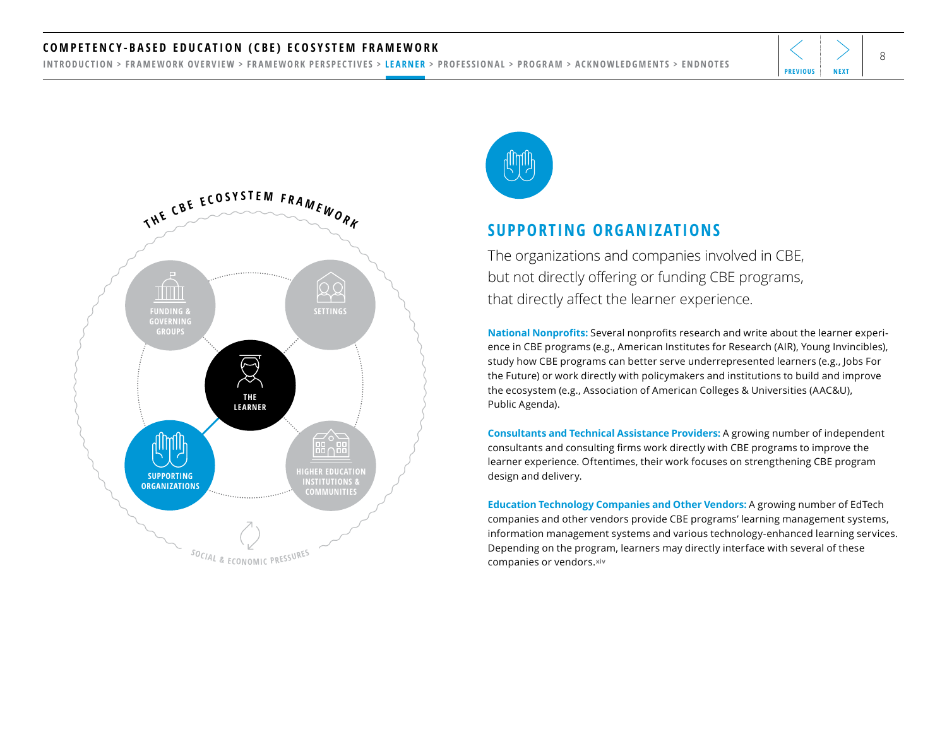#### <span id="page-7-0"></span>COMPETENCY-BASED EDUCATION (CBE) ECOSYSTEM FRAMEWORK  $\begin{array}{ccc} \texttt{COMPETENCY-BASED & EDUCATiON} \end{array}$

[INTRODUCTION](#page-1-0) > [FRAMEWORK OVERVIEW](#page-2-0) > [FRAMEWORK PERSPECTIVES](#page-3-0) > [LEARNER](#page-4-0) > [PROFESSIONAL](#page-11-0) > [PROGRAM](#page-18-0) > [ACKNOWLEDGMENTS](#page-25-0) > [ENDNOTES](#page-26-0)





#### **SUPPORTING ORGANIZATIONS**

The organizations and companies involved in CBE, but not directly offering or funding CBE programs, that directly affect the learner experience.

**National Nonprofits:** Several nonprofits research and write about the learner experience in CBE programs (e.g., American Institutes for Research (AIR), Young Invincibles), study how CBE programs can better serve underrepresented learners (e.g., Jobs For the Future) or work directly with policymakers and institutions to build and improve the ecosystem (e.g., Association of American Colleges & Universities (AAC&U), Public Agenda).

**Consultants and Technical Assistance Providers:** A growing number of independent consultants and consulting firms work directly with CBE programs to improve the learner experience. Oftentimes, their work focuses on strengthening CBE program design and delivery.

**Education Technology Companies and Other Vendors:** A growing number of EdTech companies and other vendors provide CBE programs' learning management systems, information management systems and various technology-enhanced learning services. Depending on the program, learners may directly interface with several of these companies or vendors.**[xiv](#page-26-0)**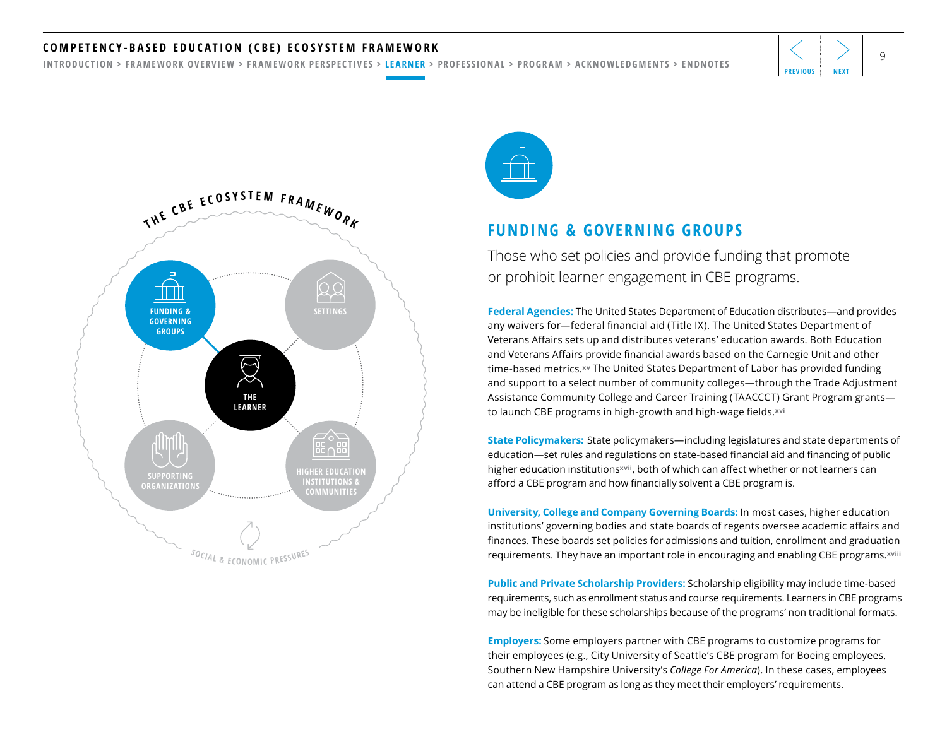#### <span id="page-8-0"></span><code>COMPETENCY-BASED EDUCATION</code> (CBE) ECOSYSTEM FRAMEWORK  $|\langle |\rangle|$

[INTRODUCTION](#page-1-0) > [FRAMEWORK OVERVIEW](#page-2-0) > [FRAMEWORK PERSPECTIVES](#page-3-0) > [LEARNER](#page-4-0) > [PROFESSIONAL](#page-11-0) > [PROGRAM](#page-18-0) > [ACKNOWLEDGMENTS](#page-25-0) > [ENDNOTES](#page-26-0)





#### **FUNDING & GOVERNING GROUPS**

Those who set policies and provide funding that promote or prohibit learner engagement in CBE programs.

**Federal Agencies:** The United States Department of Education distributes—and provides any waivers for—federal financial aid (Title IX). The United States Department of Veterans Affairs sets up and distributes veterans' education awards. Both Education and Veterans Affairs provide financial awards based on the Carnegie Unit and other time-based metrics.**[xv](#page-26-0)** The United States Department of Labor has provided funding and support to a select number of community colleges—through the Trade Adjustment Assistance Community College and Career Training (TAACCCT) Grant Program grants to launch CBE programs in high-growth and high-wage fields.**[xvi](#page-26-0)**

**State Policymakers:** State policymakers—including legislatures and state departments of education—set rules and regulations on state-based financial aid and financing of public higher education institutions**[xvii](#page-26-0)**, both of which can affect whether or not learners can afford a CBE program and how financially solvent a CBE program is.

**University, College and Company Governing Boards:** In most cases, higher education institutions' governing bodies and state boards of regents oversee academic affairs and finances. These boards set policies for admissions and tuition, enrollment and graduation requirements. They have an important role in encouraging and enabling CBE programs.**[xviii](#page-26-0)**

**Public and Private Scholarship Providers:** Scholarship eligibility may include time-based requirements, such as enrollment status and course requirements. Learners in CBE programs may be ineligible for these scholarships because of the programs' non traditional formats.

**Employers:** Some employers partner with CBE programs to customize programs for their employees (e.g., City University of Seattle's CBE program for Boeing employees, Southern New Hampshire University's *College For America*). In these cases, employees can attend a CBE program as long as they meet their employers' requirements.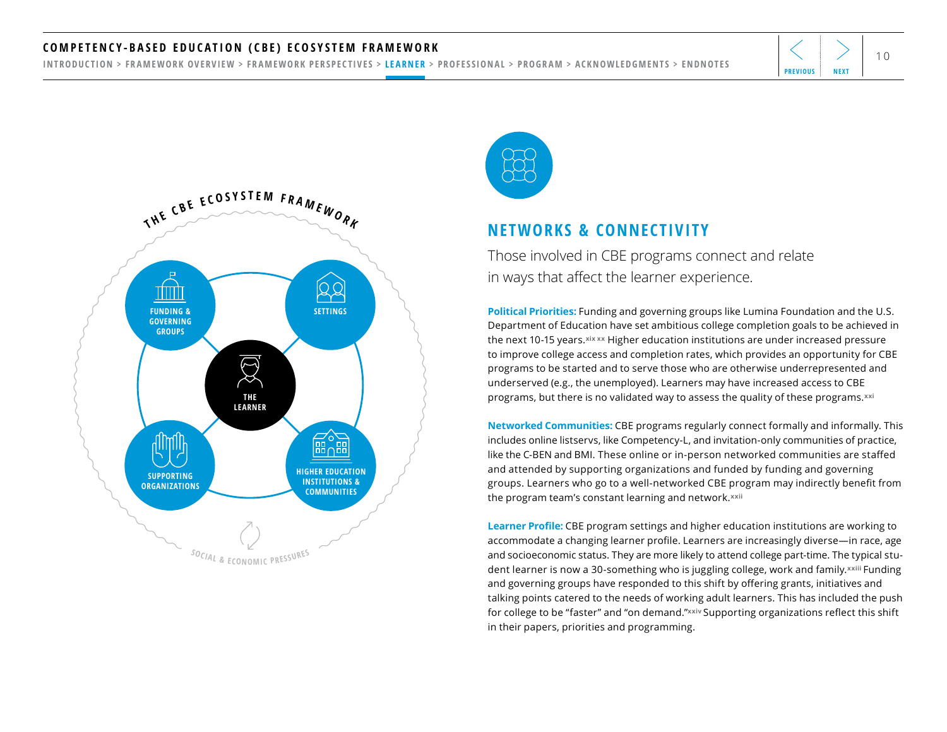#### <span id="page-9-0"></span><code>COMPETENCY-BASED EDUCATION</code> (CBE) ECOSYSTEM FRAMEWORK  $\left|\left<\right>\right>_{10}$

[INTRODUCTION](#page-1-0) > [FRAMEWORK OVERVIEW](#page-2-0) > [FRAMEWORK PERSPECTIVES](#page-3-0) > [LEARNER](#page-4-0) > [PROFESSIONAL](#page-11-0) > [PROGRAM](#page-18-0) > [ACKNOWLEDGMENTS](#page-25-0) > [ENDNOTES](#page-26-0)







#### **NETWORKS & CONNECTIVITY**

Those involved in CBE programs connect and relate in ways that affect the learner experience.

**Political Priorities:** Funding and governing groups like Lumina Foundation and the U.S. Department of Education have set ambitious college completion goals to be achieved in the next 10-15 years.**[xix xx](#page-26-0)** Higher education institutions are under increased pressure to improve college access and completion rates, which provides an opportunity for CBE programs to be started and to serve those who are otherwise underrepresented and underserved (e.g., the unemployed). Learners may have increased access to CBE programs, but there is no validated way to assess the quality of these programs.**[xxi](#page-26-0)**

**Networked Communities:** CBE programs regularly connect formally and informally. This includes online listservs, like Competency-L, and invitation-only communities of practice, like the C-BEN and BMI. These online or in-person networked communities are staffed and attended by supporting organizations and funded by funding and governing groups. Learners who go to a well-networked CBE program may indirectly benefit from the program team's constant learning and network.**[xxii](#page-26-0)** 

**Learner Profile:** CBE program settings and higher education institutions are working to accommodate a changing learner profile. Learners are increasingly diverse—in race, age and socioeconomic status. They are more likely to attend college part-time. The typical student learner is now a 30-something who is juggling college, work and family.**[xxiii](#page-26-0)** Funding and governing groups have responded to this shift by offering grants, initiatives and talking points catered to the needs of working adult learners. This has included the push for college to be "faster" and "on demand."**[xxiv](#page-26-0)** Supporting organizations reflect this shift in their papers, priorities and programming.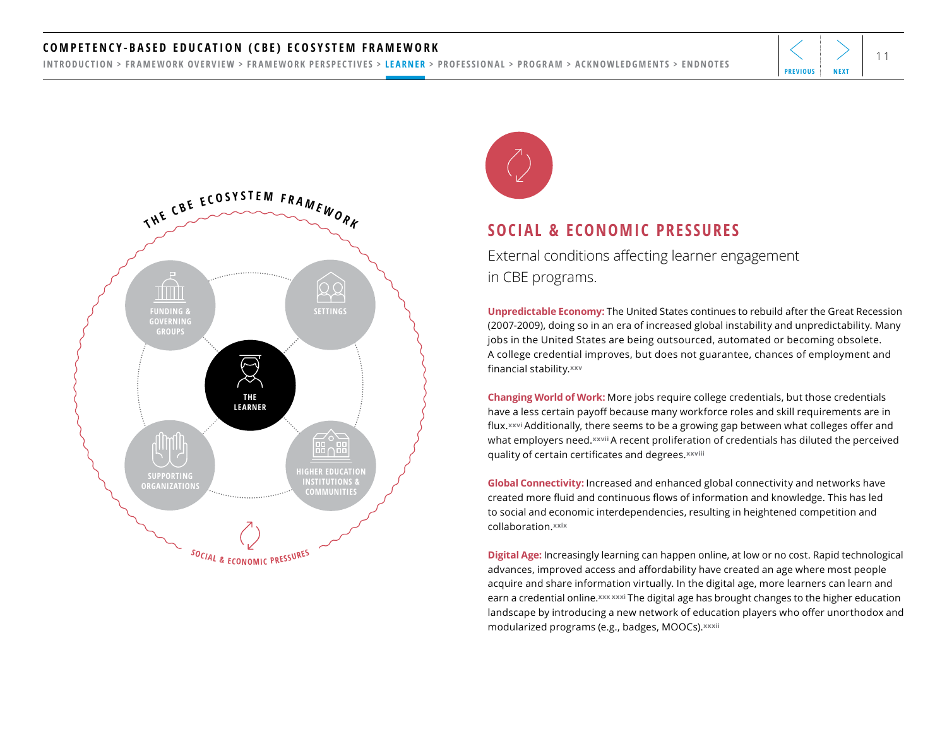#### <span id="page-10-0"></span><code>COMPETENCY-BASED EDUCATION</code> (CBE) ECOSYSTEM FRAMEWORK  $\left|\left<\right>\right>_{11}$

[INTRODUCTION](#page-1-0) > [FRAMEWORK OVERVIEW](#page-2-0) > [FRAMEWORK PERSPECTIVES](#page-3-0) > [LEARNER](#page-4-0) > [PROFESSIONAL](#page-11-0) > [PROGRAM](#page-18-0) > [ACKNOWLEDGMENTS](#page-25-0) > [ENDNOTES](#page-26-0)





#### **SOCIAL & ECONOMIC PRESSURES**

External conditions affecting learner engagement in CBE programs.

**Unpredictable Economy:** The United States continues to rebuild after the Great Recession (2007-2009), doing so in an era of increased global instability and unpredictability. Many jobs in the United States are being outsourced, automated or becoming obsolete. A college credential improves, but does not guarantee, chances of employment and financial stability.**[xxv](#page-26-0)**

**Changing World of Work:** More jobs require college credentials, but those credentials have a less certain payoff because many workforce roles and skill requirements are in flux.**[xxvi](#page-26-0)** Additionally, there seems to be a growing gap between what colleges offer and what employers need.**[xxvii](#page-26-0)** A recent proliferation of credentials has diluted the perceived quality of certain certificates and degrees.**[xxviii](#page-26-0)** 

**Global Connectivity:** Increased and enhanced global connectivity and networks have created more fluid and continuous flows of information and knowledge. This has led to social and economic interdependencies, resulting in heightened competition and collaboration.**[xxix](#page-26-0)**

**Digital Age:** Increasingly learning can happen online, at low or no cost. Rapid technological advances, improved access and affordability have created an age where most people acquire and share information virtually. In the digital age, more learners can learn and earn a credential online. *[xxx](#page-26-0) xxxi* The digital age has brought changes to the higher education landscape by introducing a new network of education players who offer unorthodox and modularized programs (e.g., badges, MOOCs).**[xxxii](#page-26-0)**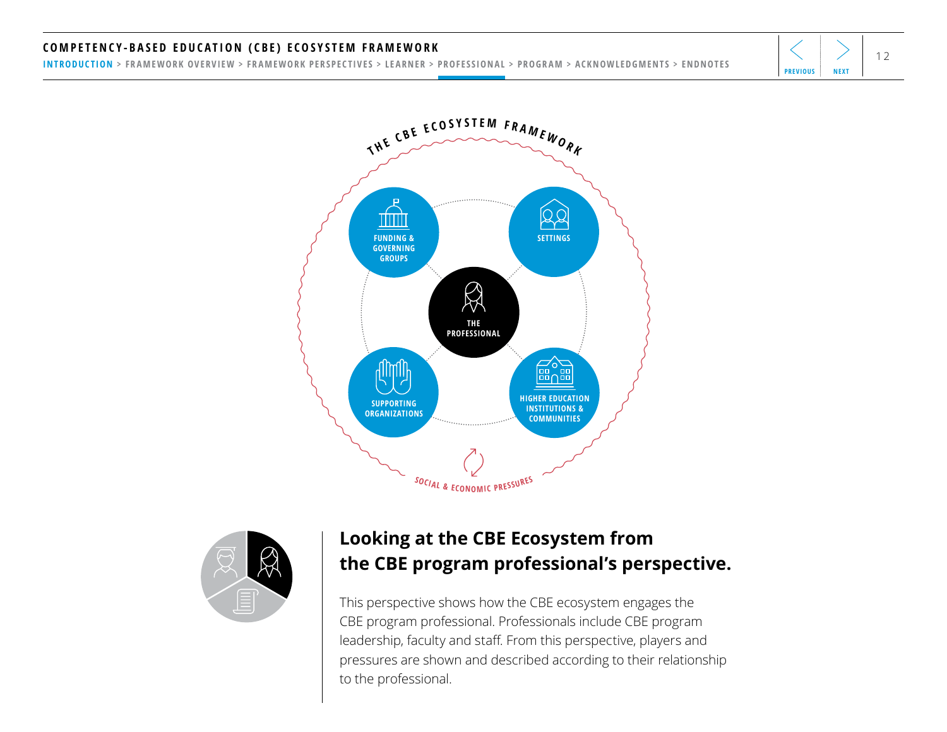### <span id="page-11-0"></span><code>COMPETENCY-BASED EDUCATION</code> (CBE) ECOSYSTEM FRAMEWORK  $|\langle |\rangle|_{12}$

[INTRODUCTION](#page-1-0) > [FRAMEWORK OVERVIEW](#page-2-0) > [FRAMEWORK PERSPECTIVES](#page-3-0) > [LEARNER](#page-4-0) > PROFESSIONAL > [PROGRAM](#page-18-0) > [ACKNOWLEDGMENTS](#page-25-0) > [ENDNOTES](#page-26-0)





## **Looking at the CBE Ecosystem from the CBE program professional's perspective.**

This perspective shows how the CBE ecosystem engages the CBE program professional. Professionals include CBE program leadership, faculty and staff. From this perspective, players and pressures are shown and described according to their relationship to the professional.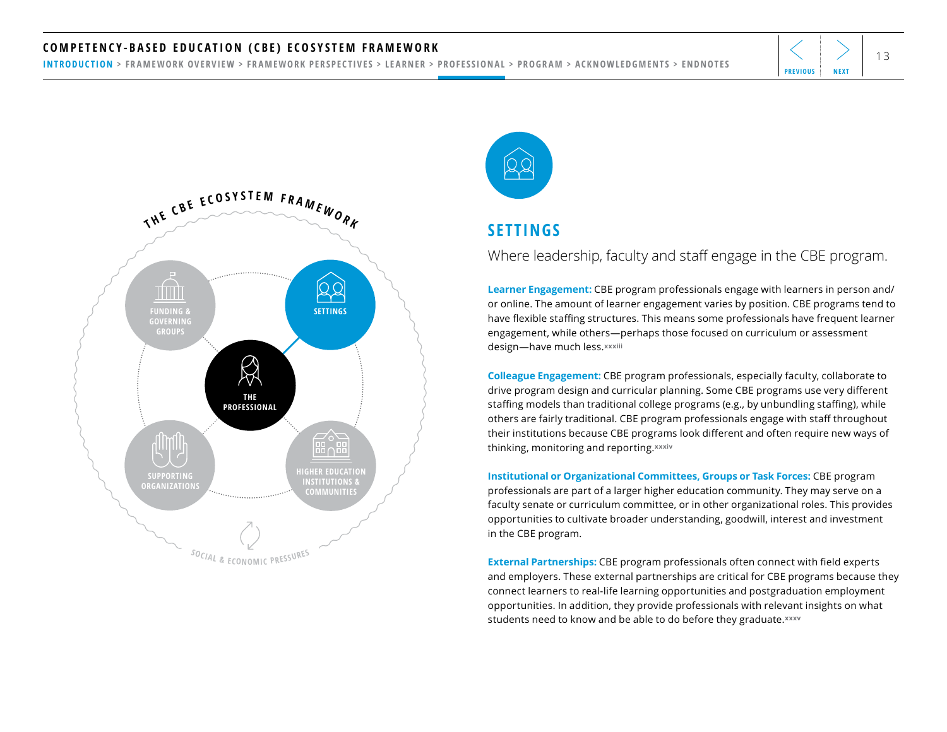#### <span id="page-12-0"></span><code>COMPETENCY-BASED EDUCATION</code> (CBE) ECOSYSTEM FRAMEWORK  $\left|\left<\right>\right> \right|_{13}$

[INTRODUCTION](#page-1-0) > [FRAMEWORK OVERVIEW](#page-2-0) > [FRAMEWORK PERSPECTIVES](#page-3-0) > [LEARNER](#page-4-0) > [PROFESSIONAL](#page-11-0) > [PROGRAM](#page-18-0) > [ACKNOWLEDGMENTS](#page-25-0) > [ENDNOTES](#page-26-0)





### **SETTINGS**

#### Where leadership, faculty and staff engage in the CBE program.

**Learner Engagement:** CBE program professionals engage with learners in person and/ or online. The amount of learner engagement varies by position. CBE programs tend to have flexible staffing structures. This means some professionals have frequent learner engagement, while others—perhaps those focused on curriculum or assessment design—have much less.**[xxxiii](#page-26-0)**

**Colleague Engagement:** CBE program professionals, especially faculty, collaborate to drive program design and curricular planning. Some CBE programs use very different staffing models than traditional college programs (e.g., by unbundling staffing), while others are fairly traditional. CBE program professionals engage with staff throughout their institutions because CBE programs look different and often require new ways of thinking, monitoring and reporting.**[xxxiv](#page-27-0)** 

**Institutional or Organizational Committees, Groups or Task Forces:** CBE program professionals are part of a larger higher education community. They may serve on a faculty senate or curriculum committee, or in other organizational roles. This provides opportunities to cultivate broader understanding, goodwill, interest and investment in the CBE program.

**External Partnerships:** CBE program professionals often connect with field experts and employers. These external partnerships are critical for CBE programs because they connect learners to real-life learning opportunities and postgraduation employment opportunities. In addition, they provide professionals with relevant insights on what students need to know and be able to do before they graduate.**[xxxv](#page-27-0)**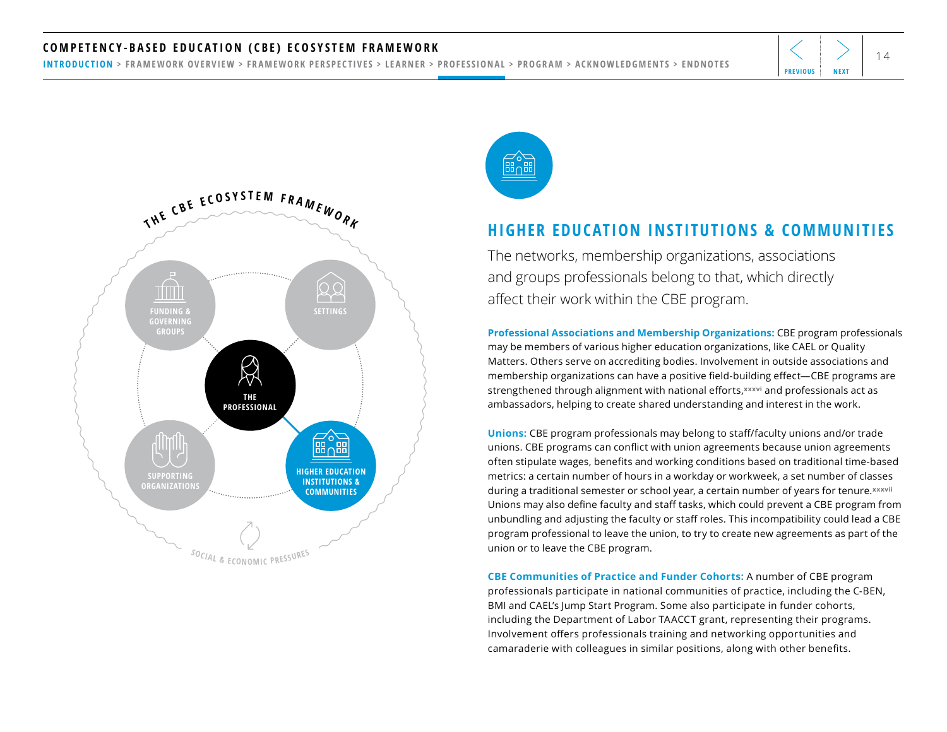#### <span id="page-13-0"></span><code>COMPETENCY-BASED EDUCATION</code> (CBE) ECOSYSTEM FRAMEWORK  $\left|\left<\right>\right>_{14}$

[INTRODUCTION](#page-1-0) > [FRAMEWORK OVERVIEW](#page-2-0) > [FRAMEWORK PERSPECTIVES](#page-3-0) > [LEARNER](#page-4-0) > [PROFESSIONAL](#page-11-0) > [PROGRAM](#page-18-0) > [ACKNOWLEDGMENTS](#page-25-0) > [ENDNOTES](#page-26-0)





#### **HIGHER EDUCATION INSTITUTIONS & COMMUNITIES**

The networks, membership organizations, associations and groups professionals belong to that, which directly affect their work within the CBE program.

**Professional Associations and Membership Organizations:** CBE program professionals may be members of various higher education organizations, like CAEL or Quality Matters. Others serve on accrediting bodies. Involvement in outside associations and membership organizations can have a positive field-building effect—CBE programs are strengthened through alignment with national efforts,**[xxxvi](#page-27-0)** and professionals act as ambassadors, helping to create shared understanding and interest in the work.

**Unions:** CBE program professionals may belong to staff/faculty unions and/or trade unions. CBE programs can conflict with union agreements because union agreements often stipulate wages, benefits and working conditions based on traditional time-based metrics: a certain number of hours in a workday or workweek, a set number of classes during a traditional semester or school year, a certain number of years for tenure.**[xxxvii](#page-27-0)**  Unions may also define faculty and staff tasks, which could prevent a CBE program from unbundling and adjusting the faculty or staff roles. This incompatibility could lead a CBE program professional to leave the union, to try to create new agreements as part of the union or to leave the CBE program.

**CBE Communities of Practice and Funder Cohorts:** A number of CBE program professionals participate in national communities of practice, including the C-BEN, BMI and CAEL's Jump Start Program. Some also participate in funder cohorts, including the Department of Labor TAACCT grant, representing their programs. Involvement offers professionals training and networking opportunities and camaraderie with colleagues in similar positions, along with other benefits.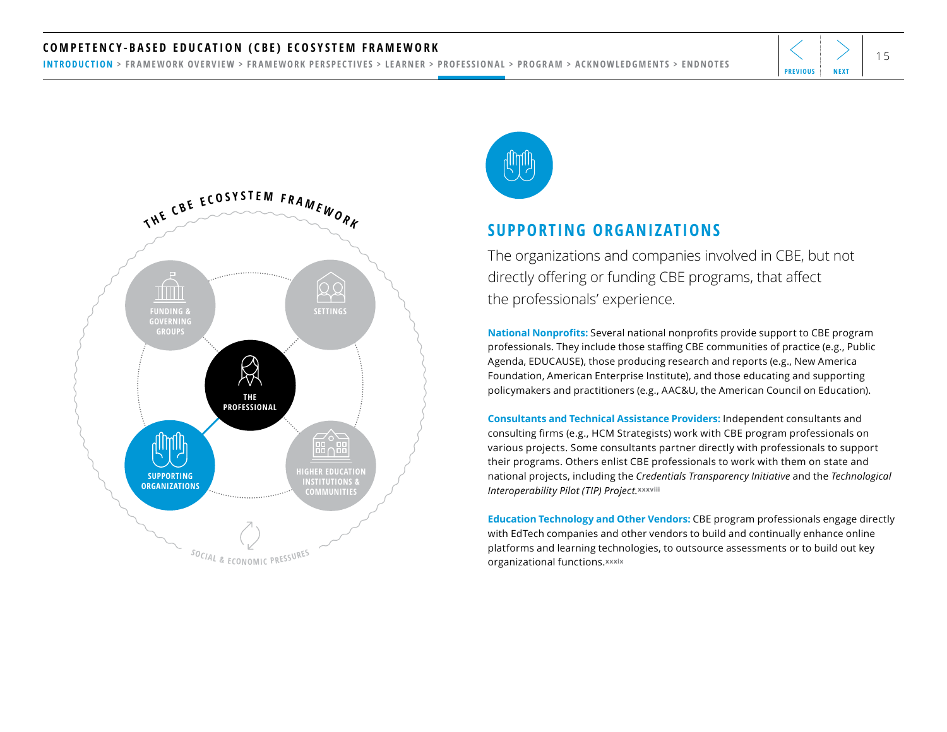#### <span id="page-14-0"></span><code>COMPETENCY-BASED EDUCATION</code> (CBE) ECOSYSTEM FRAMEWORK  $\left|\left<\right>\right>_{15}\right|$

[INTRODUCTION](#page-1-0) > [FRAMEWORK OVERVIEW](#page-2-0) > [FRAMEWORK PERSPECTIVES](#page-3-0) > [LEARNER](#page-4-0) > [PROFESSIONAL](#page-11-0) > [PROGRAM](#page-18-0) > [ACKNOWLEDGMENTS](#page-25-0) > [ENDNOTES](#page-26-0)





#### **SUPPORTING ORGANIZATIONS**

The organizations and companies involved in CBE, but not directly offering or funding CBE programs, that affect the professionals' experience.

**National Nonprofits:** Several national nonprofits provide support to CBE program professionals. They include those staffing CBE communities of practice (e.g., Public Agenda, EDUCAUSE), those producing research and reports (e.g., New America Foundation, American Enterprise Institute), and those educating and supporting policymakers and practitioners (e.g., AAC&U, the American Council on Education).

**Consultants and Technical Assistance Providers:** Independent consultants and consulting firms (e.g., HCM Strategists) work with CBE program professionals on various projects. Some consultants partner directly with professionals to support their programs. Others enlist CBE professionals to work with them on state and national projects, including the *Credentials Transparency Initiative* and the *Technological Interoperability Pilot (TIP) Project.***[xxxviii](#page-27-0)** 

**Education Technology and Other Vendors:** CBE program professionals engage directly with EdTech companies and other vendors to build and continually enhance online platforms and learning technologies, to outsource assessments or to build out key organizational functions.**[xxxix](#page-27-0)**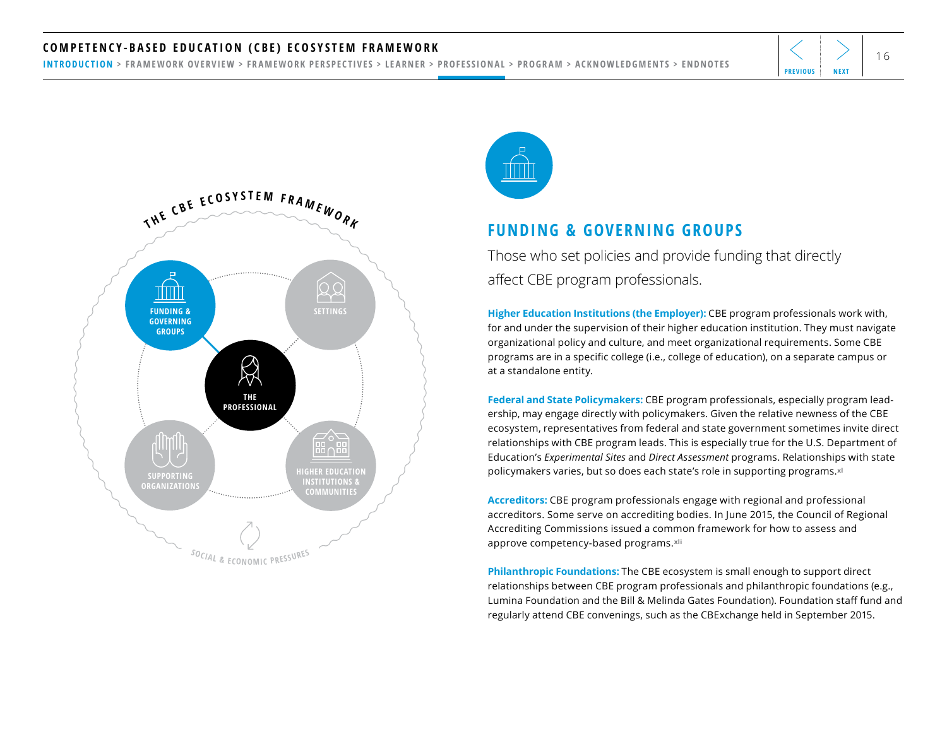#### <span id="page-15-0"></span><code>COMPETENCY-BASED EDUCATION</code> (CBE) ECOSYSTEM FRAMEWORK  $\left|\left<\right>\right>_{16}\right|$

[INTRODUCTION](#page-1-0) > [FRAMEWORK OVERVIEW](#page-2-0) > [FRAMEWORK PERSPECTIVES](#page-3-0) > [LEARNER](#page-4-0) > [PROFESSIONAL](#page-11-0) > [PROGRAM](#page-18-0) > [ACKNOWLEDGMENTS](#page-25-0) > [ENDNOTES](#page-26-0)





#### **FUNDING & GOVERNING GROUPS**

Those who set policies and provide funding that directly affect CBE program professionals.

**Higher Education Institutions (the Employer):** CBE program professionals work with, for and under the supervision of their higher education institution. They must navigate organizational policy and culture, and meet organizational requirements. Some CBE programs are in a specific college (i.e., college of education), on a separate campus or at a standalone entity.

**Federal and State Policymakers:** CBE program professionals, especially program leadership, may engage directly with policymakers. Given the relative newness of the CBE ecosystem, representatives from federal and state government sometimes invite direct relationships with CBE program leads. This is especially true for the U.S. Department of Education's *Experimental Sites* and *Direct Assessment* programs. Relationships with state policymakers varies, but so does each state's role in supporting programs.**[xl](#page-27-0)**

**Accreditors:** CBE program professionals engage with regional and professional accreditors. Some serve on accrediting bodies. In June 2015, the Council of Regional Accrediting Commissions issued a common framework for how to assess and approve competency-based programs.**[xli](#page-27-0)** 

**Philanthropic Foundations:** The CBE ecosystem is small enough to support direct relationships between CBE program professionals and philanthropic foundations (e.g., Lumina Foundation and the Bill & Melinda Gates Foundation). Foundation staff fund and regularly attend CBE convenings, such as the CBExchange held in September 2015.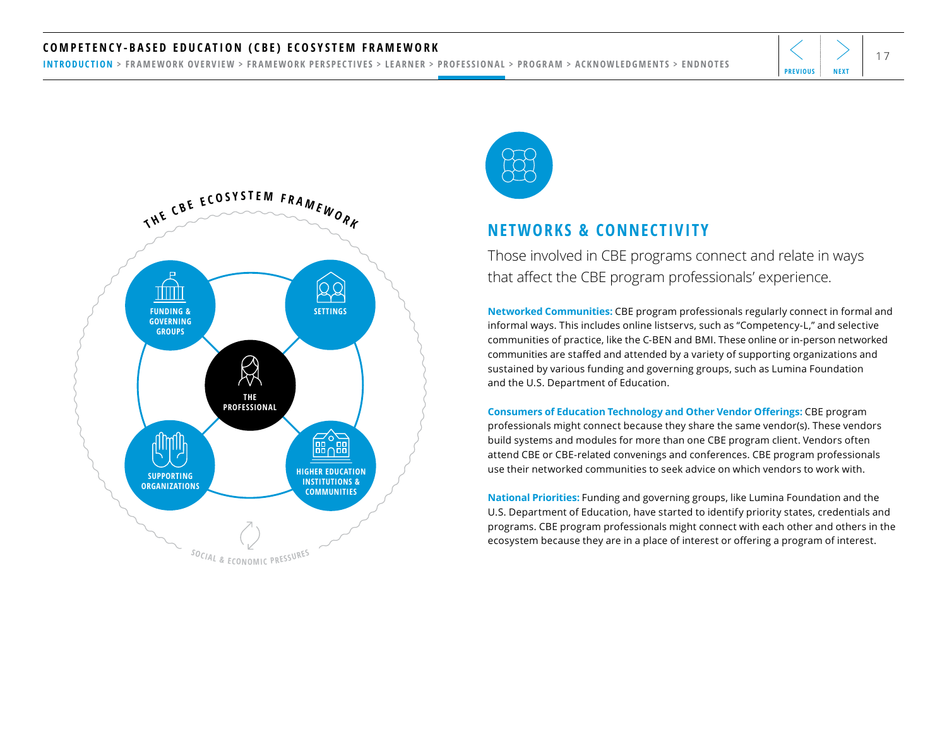#### <code>COMPETENCY-BASED EDUCATION</code> (CBE) ECOSYSTEM FRAMEWORK  $\left|\left<\right>\right> \left|\right>_{17}$

[INTRODUCTION](#page-1-0) > [FRAMEWORK OVERVIEW](#page-2-0) > [FRAMEWORK PERSPECTIVES](#page-3-0) > [LEARNER](#page-4-0) > [PROFESSIONAL](#page-11-0) > [PROGRAM](#page-18-0) > [ACKNOWLEDGMENTS](#page-25-0) > [ENDNOTES](#page-26-0)





#### **NETWORKS & CONNECTIVITY**

Those involved in CBE programs connect and relate in ways that affect the CBE program professionals' experience.

**Networked Communities:** CBE program professionals regularly connect in formal and informal ways. This includes online listservs, such as "Competency-L," and selective communities of practice, like the C-BEN and BMI. These online or in-person networked communities are staffed and attended by a variety of supporting organizations and sustained by various funding and governing groups, such as Lumina Foundation and the U.S. Department of Education.

**Consumers of Education Technology and Other Vendor Offerings:** CBE program professionals might connect because they share the same vendor(s). These vendors build systems and modules for more than one CBE program client. Vendors often attend CBE or CBE-related convenings and conferences. CBE program professionals use their networked communities to seek advice on which vendors to work with.

**National Priorities:** Funding and governing groups, like Lumina Foundation and the U.S. Department of Education, have started to identify priority states, credentials and programs. CBE program professionals might connect with each other and others in the ecosystem because they are in a place of interest or offering a program of interest.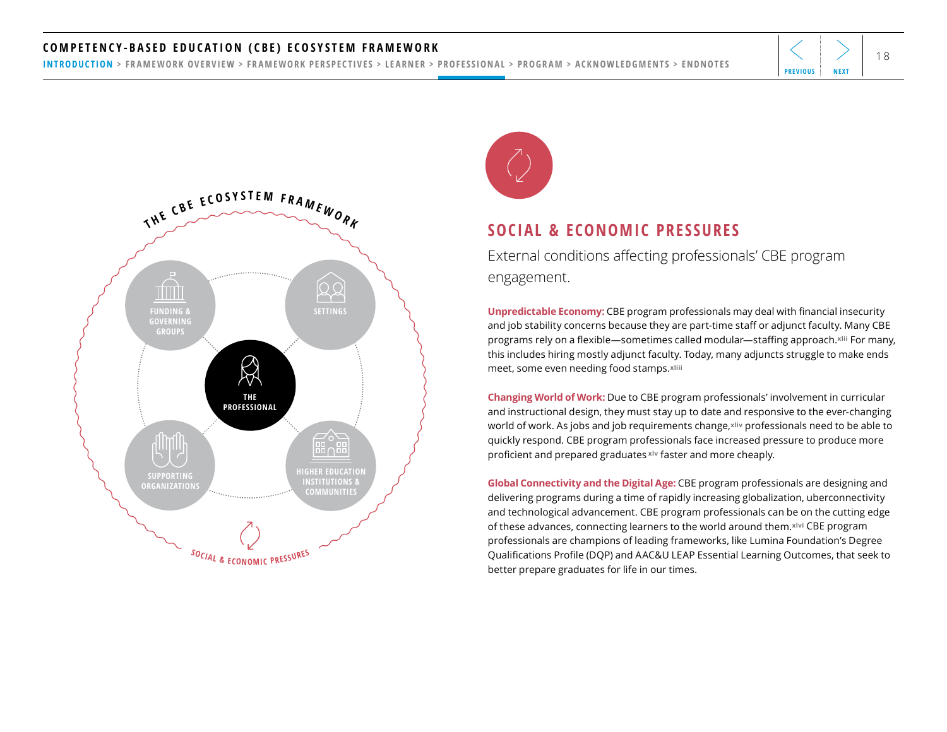#### <span id="page-17-0"></span><code>COMPETENCY-BASED EDUCATION</code> (CBE) ECOSYSTEM FRAMEWORK  $\left|\left<\right>\right> \right|_{18}$

[INTRODUCTION](#page-1-0) > [FRAMEWORK OVERVIEW](#page-2-0) > [FRAMEWORK PERSPECTIVES](#page-3-0) > [LEARNER](#page-4-0) > [PROFESSIONAL](#page-11-0) > [PROGRAM](#page-18-0) > [ACKNOWLEDGMENTS](#page-25-0) > [ENDNOTES](#page-26-0)





#### **SOCIAL & ECONOMIC PRESSURES**

External conditions affecting professionals' CBE program engagement.

**Unpredictable Economy:** CBE program professionals may deal with financial insecurity and job stability concerns because they are part-time staff or adjunct faculty. Many CBE programs rely on a flexible—sometimes called modular—staffing approach.**[xlii](#page-27-0)** For many, this includes hiring mostly adjunct faculty. Today, many adjuncts struggle to make ends meet, some even needing food stamps.**[xliii](#page-27-0)** 

**Changing World of Work:** Due to CBE program professionals' involvement in curricular and instructional design, they must stay up to date and responsive to the ever-changing world of work. As jobs and job requirements change,**[xliv](#page-27-0)** professionals need to be able to quickly respond. CBE program professionals face increased pressure to produce more proficient and prepared graduates **[xlv](#page-27-0)** faster and more cheaply.

**Global Connectivity and the Digital Age:** CBE program professionals are designing and delivering programs during a time of rapidly increasing globalization, uberconnectivity and technological advancement. CBE program professionals can be on the cutting edge of these advances, connecting learners to the world around them.**[xlvi](#page-27-0)** CBE program professionals are champions of leading frameworks, like Lumina Foundation's Degree Qualifications Profile (DQP) and AAC&U LEAP Essential Learning Outcomes, that seek to better prepare graduates for life in our times.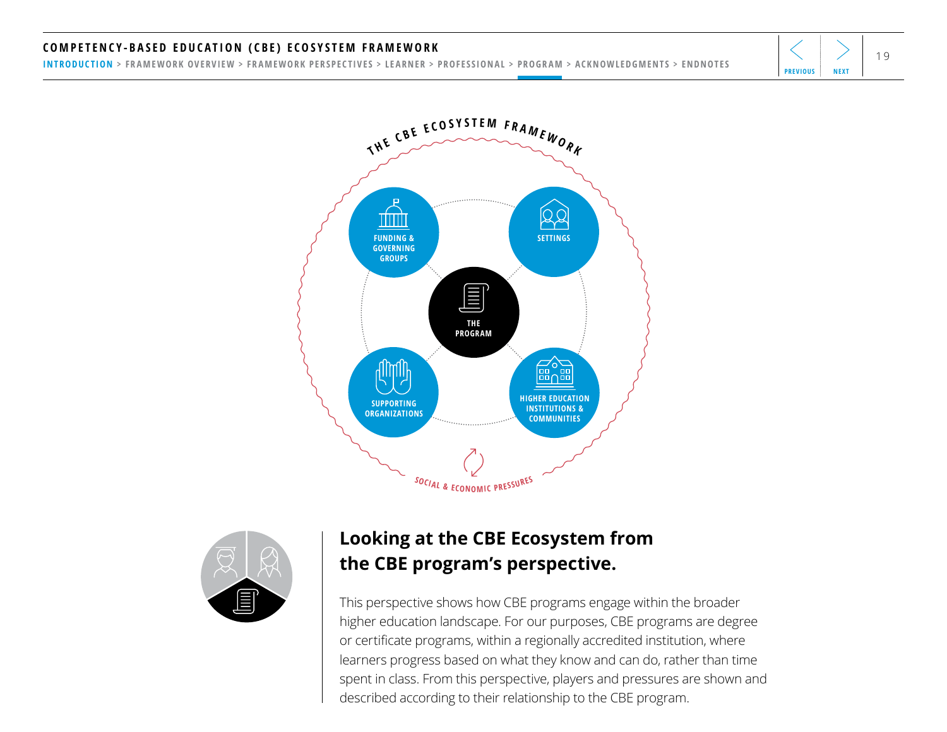### <span id="page-18-0"></span><code>COMPETENCY-BASED EDUCATION</code> (CBE) ECOSYSTEM FRAMEWORK  $|\langle |\rangle|$

[INTRODUCTION](#page-1-0) > [FRAMEWORK OVERVIEW](#page-2-0) > [FRAMEWORK PERSPECTIVES](#page-3-0) > [LEARNER](#page-4-0) > [PROFESSIONAL](#page-11-0) > PROGRAM > [ACKNOWLEDGMENTS](#page-25-0) > [ENDNOTES](#page-26-0)





## **Looking at the CBE Ecosystem from the CBE program's perspective.**

This perspective shows how CBE programs engage within the broader higher education landscape. For our purposes, CBE programs are degree or certificate programs, within a regionally accredited institution, where learners progress based on what they know and can do, rather than time spent in class. From this perspective, players and pressures are shown and described according to their relationship to the CBE program.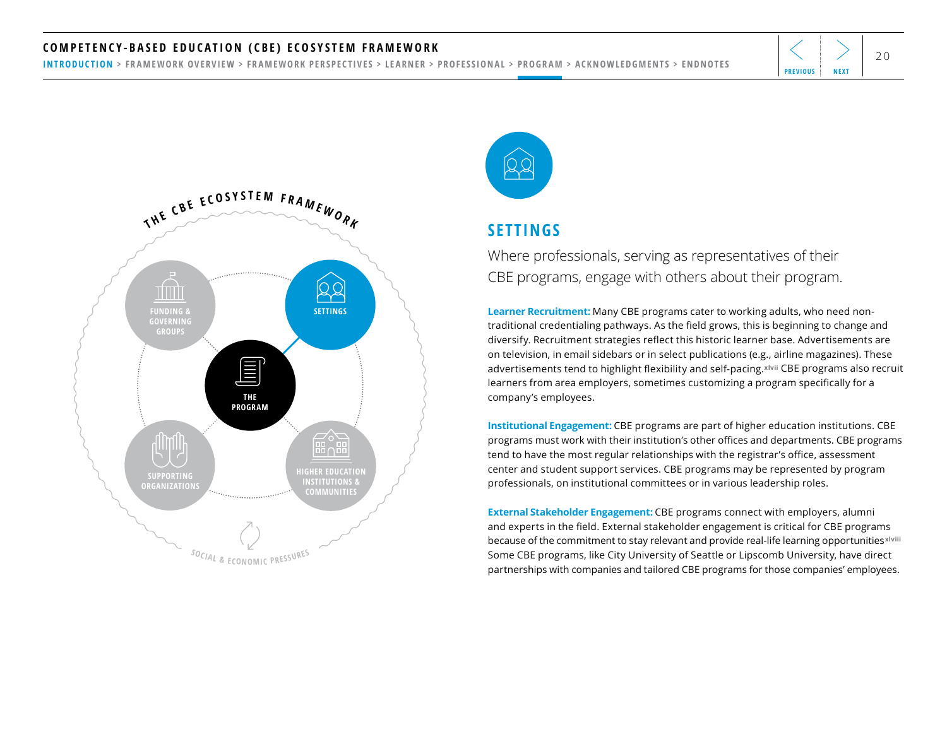#### <span id="page-19-0"></span>COMPETENCY-BASED EDUCATION (CBE) ECOSYSTEM FRAMEWORK  $\left|\left<\right>\right>$   $\right|_{20}$

[INTRODUCTION](#page-1-0) > [FRAMEWORK OVERVIEW](#page-2-0) > [FRAMEWORK PERSPECTIVES](#page-3-0) > [LEARNER](#page-4-0) > [PROFESSIONAL](#page-11-0) > [PROGRAM](#page-18-0) > [ACKNOWLEDGMENTS](#page-25-0) > [ENDNOTES](#page-26-0)





### **SETTINGS**

Where professionals, serving as representatives of their CBE programs, engage with others about their program.

**Learner Recruitment:** Many CBE programs cater to working adults, who need nontraditional credentialing pathways. As the field grows, this is beginning to change and diversify. Recruitment strategies reflect this historic learner base. Advertisements are on television, in email sidebars or in select publications (e.g., airline magazines). These advertisements tend to highlight flexibility and self-pacing.**[xlvii](#page-27-0)** CBE programs also recruit learners from area employers, sometimes customizing a program specifically for a company's employees.

**Institutional Engagement:** CBE programs are part of higher education institutions. CBE programs must work with their institution's other offices and departments. CBE programs tend to have the most regular relationships with the registrar's office, assessment center and student support services. CBE programs may be represented by program professionals, on institutional committees or in various leadership roles.

**External Stakeholder Engagement:** CBE programs connect with employers, alumni and experts in the field. External stakeholder engagement is critical for CBE programs because of the commitment to stay relevant and provide real-life learning opportunities<sup>xlviii</sup> Some CBE programs, like City University of Seattle or Lipscomb University, have direct partnerships with companies and tailored CBE programs for those companies' employees.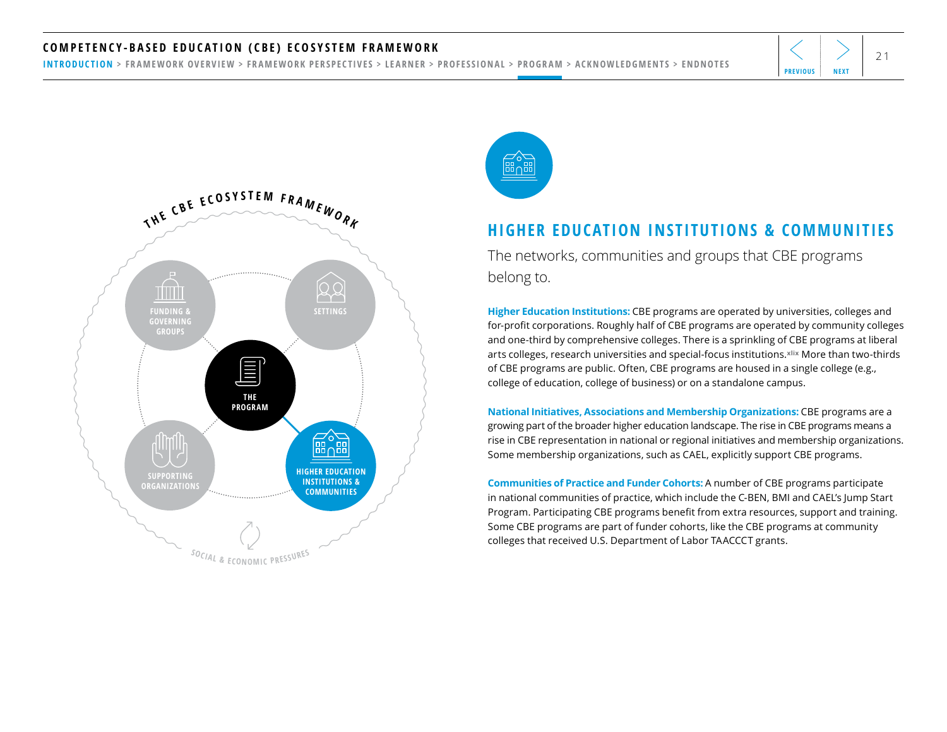#### <span id="page-20-0"></span>COMPETENCY-BASED EDUCATION (CBE) ECOSYSTEM FRAMEWORK  $\left|\left<\right>\right>_{21}$

[INTRODUCTION](#page-1-0) > [FRAMEWORK OVERVIEW](#page-2-0) > [FRAMEWORK PERSPECTIVES](#page-3-0) > [LEARNER](#page-4-0) > [PROFESSIONAL](#page-11-0) > [PROGRAM](#page-18-0) > [ACKNOWLEDGMENTS](#page-25-0) > [ENDNOTES](#page-26-0)





#### **HIGHER EDUCATION INSTITUTIONS & COMMUNITIES**

The networks, communities and groups that CBE programs belong to.

**Higher Education Institutions:** CBE programs are operated by universities, colleges and for-profit corporations. Roughly half of CBE programs are operated by community colleges and one-third by comprehensive colleges. There is a sprinkling of CBE programs at liberal arts colleges, research universities and special-focus institutions.**[xlix](#page-27-0)** More than two-thirds of CBE programs are public. Often, CBE programs are housed in a single college (e.g., college of education, college of business) or on a standalone campus.

**National Initiatives, Associations and Membership Organizations:** CBE programs are a growing part of the broader higher education landscape. The rise in CBE programs means a rise in CBE representation in national or regional initiatives and membership organizations. Some membership organizations, such as CAEL, explicitly support CBE programs.

**Communities of Practice and Funder Cohorts:** A number of CBE programs participate in national communities of practice, which include the C-BEN, BMI and CAEL's Jump Start Program. Participating CBE programs benefit from extra resources, support and training. Some CBE programs are part of funder cohorts, like the CBE programs at community colleges that received U.S. Department of Labor TAACCCT grants.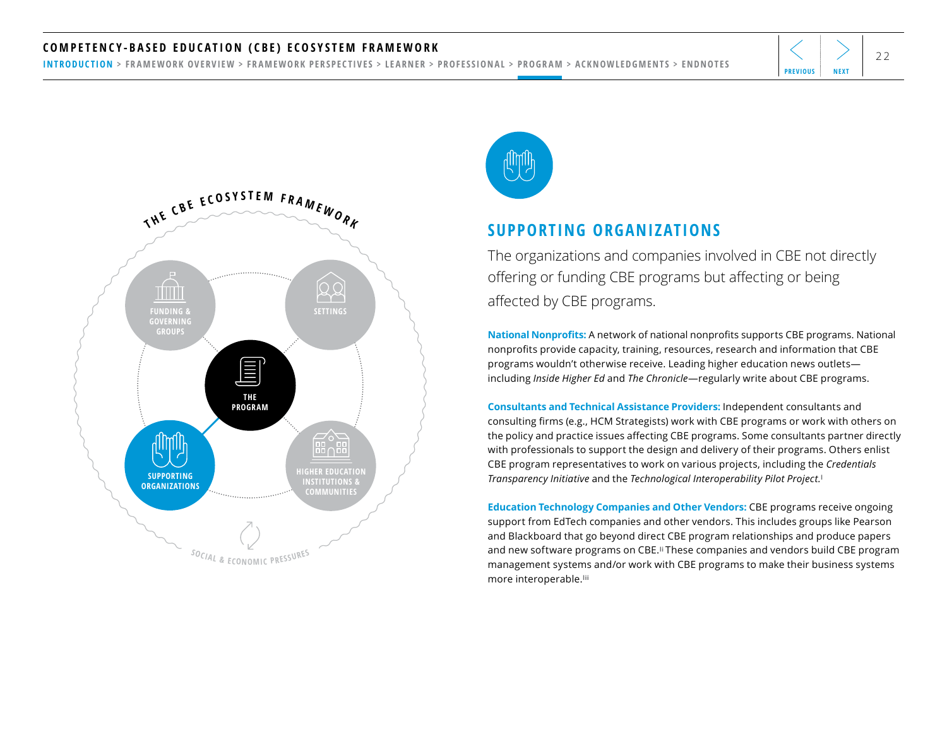#### <span id="page-21-0"></span>COMPETENCY-BASED EDUCATION (CBE) ECOSYSTEM FRAMEWORK  $\left|\left<\right>\right>_{22}$

[INTRODUCTION](#page-1-0) > [FRAMEWORK OVERVIEW](#page-2-0) > [FRAMEWORK PERSPECTIVES](#page-3-0) > [LEARNER](#page-4-0) > [PROFESSIONAL](#page-11-0) > [PROGRAM](#page-18-0) > [ACKNOWLEDGMENTS](#page-25-0) > [ENDNOTES](#page-26-0)





#### **SUPPORTING ORGANIZATIONS**

The organizations and companies involved in CBE not directly offering or funding CBE programs but affecting or being affected by CBE programs.

**National Nonprofits:** A network of national nonprofits supports CBE programs. National nonprofits provide capacity, training, resources, research and information that CBE programs wouldn't otherwise receive. Leading higher education news outlets including *Inside Higher Ed* and *The Chronicle*—regularly write about CBE programs.

**Consultants and Technical Assistance Providers:** Independent consultants and consulting firms (e.g., HCM Strategists) work with CBE programs or work with others on the policy and practice issues affecting CBE programs. Some consultants partner directly with professionals to support the design and delivery of their programs. Others enlist CBE program representatives to work on various projects, including the *Credentials Transparency Initiative* and the *Technological Interoperability Pilot Project.***[l](#page-27-0)**

**Education Technology Companies and Other Vendors:** CBE programs receive ongoing support from EdTech companies and other vendors. This includes groups like Pearson and Blackboard that go beyond direct CBE program relationships and produce papers and new software programs on CBE.**[li](#page-27-0)** These companies and vendors build CBE program management systems and/or work with CBE programs to make their business systems more interoperable.**[lii](#page-27-0)**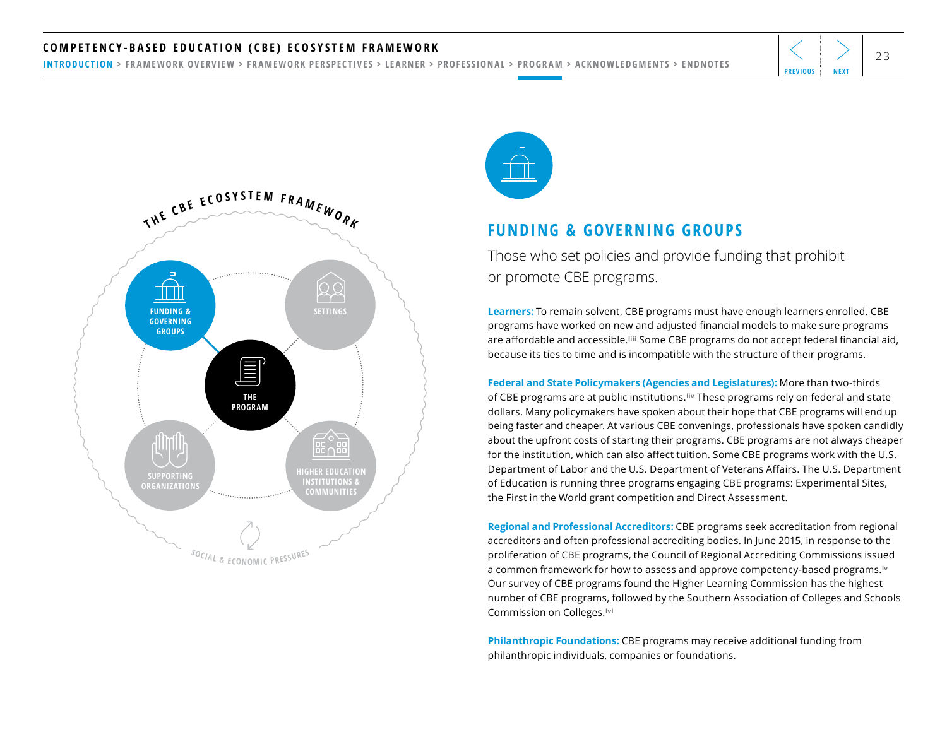#### <span id="page-22-0"></span>COMPETENCY-BASED EDUCATION (CBE) ECOSYSTEM FRAMEWORK  $\left|\left<\right>\right>$   $\right|_{23}$

[INTRODUCTION](#page-1-0) > [FRAMEWORK OVERVIEW](#page-2-0) > [FRAMEWORK PERSPECTIVES](#page-3-0) > [LEARNER](#page-4-0) > [PROFESSIONAL](#page-11-0) > [PROGRAM](#page-18-0) > [ACKNOWLEDGMENTS](#page-25-0) > [ENDNOTES](#page-26-0)





#### **FUNDING & GOVERNING GROUPS**

Those who set policies and provide funding that prohibit or promote CBE programs.

**Learners:** To remain solvent, CBE programs must have enough learners enrolled. CBE programs have worked on new and adjusted financial models to make sure programs are affordable and accessible.**[liii](#page-27-0)** Some CBE programs do not accept federal financial aid, because its ties to time and is incompatible with the structure of their programs.

**Federal and State Policymakers (Agencies and Legislatures):** More than two-thirds of CBE programs are at public institutions.**[liv](#page-27-0)** These programs rely on federal and state dollars. Many policymakers have spoken about their hope that CBE programs will end up being faster and cheaper. At various CBE convenings, professionals have spoken candidly about the upfront costs of starting their programs. CBE programs are not always cheaper for the institution, which can also affect tuition. Some CBE programs work with the U.S. Department of Labor and the U.S. Department of Veterans Affairs. The U.S. Department of Education is running three programs engaging CBE programs: Experimental Sites, the First in the World grant competition and Direct Assessment.

**Regional and Professional Accreditors:** CBE programs seek accreditation from regional accreditors and often professional accrediting bodies. In June 2015, in response to the proliferation of CBE programs, the Council of Regional Accrediting Commissions issued a common framework for how to assess and approve competency-based programs.**[lv](#page-27-0)** Our survey of CBE programs found the Higher Learning Commission has the highest number of CBE programs, followed by the Southern Association of Colleges and Schools Commission on Colleges.**[lvi](#page-27-0)** 

**Philanthropic Foundations:** CBE programs may receive additional funding from philanthropic individuals, companies or foundations.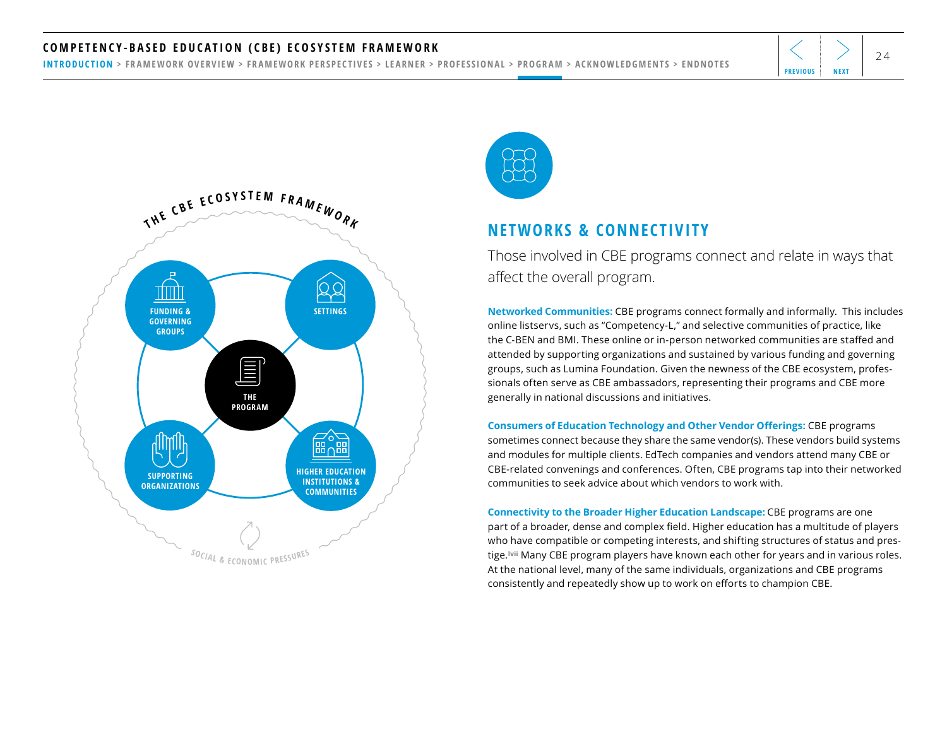#### <span id="page-23-0"></span>COMPETENCY-BASED EDUCATION (CBE) ECOSYSTEM FRAMEWORK  $\left|\left<\right>\right>_{24}$

[INTRODUCTION](#page-1-0) > [FRAMEWORK OVERVIEW](#page-2-0) > [FRAMEWORK PERSPECTIVES](#page-3-0) > [LEARNER](#page-4-0) > [PROFESSIONAL](#page-11-0) > [PROGRAM](#page-18-0) > [ACKNOWLEDGMENTS](#page-25-0) > [ENDNOTES](#page-26-0)





#### **NETWORKS & CONNECTIVITY**

Those involved in CBE programs connect and relate in ways that affect the overall program.

**Networked Communities:** CBE programs connect formally and informally. This includes online listservs, such as "Competency-L," and selective communities of practice, like the C-BEN and BMI. These online or in-person networked communities are staffed and attended by supporting organizations and sustained by various funding and governing groups, such as Lumina Foundation. Given the newness of the CBE ecosystem, professionals often serve as CBE ambassadors, representing their programs and CBE more generally in national discussions and initiatives.

**Consumers of Education Technology and Other Vendor Offerings:** CBE programs sometimes connect because they share the same vendor(s). These vendors build systems and modules for multiple clients. EdTech companies and vendors attend many CBE or CBE-related convenings and conferences. Often, CBE programs tap into their networked communities to seek advice about which vendors to work with.

**Connectivity to the Broader Higher Education Landscape:** CBE programs are one part of a broader, dense and complex field. Higher education has a multitude of players who have compatible or competing interests, and shifting structures of status and prestige.**[lvii](#page-27-0)** Many CBE program players have known each other for years and in various roles. At the national level, many of the same individuals, organizations and CBE programs consistently and repeatedly show up to work on efforts to champion CBE.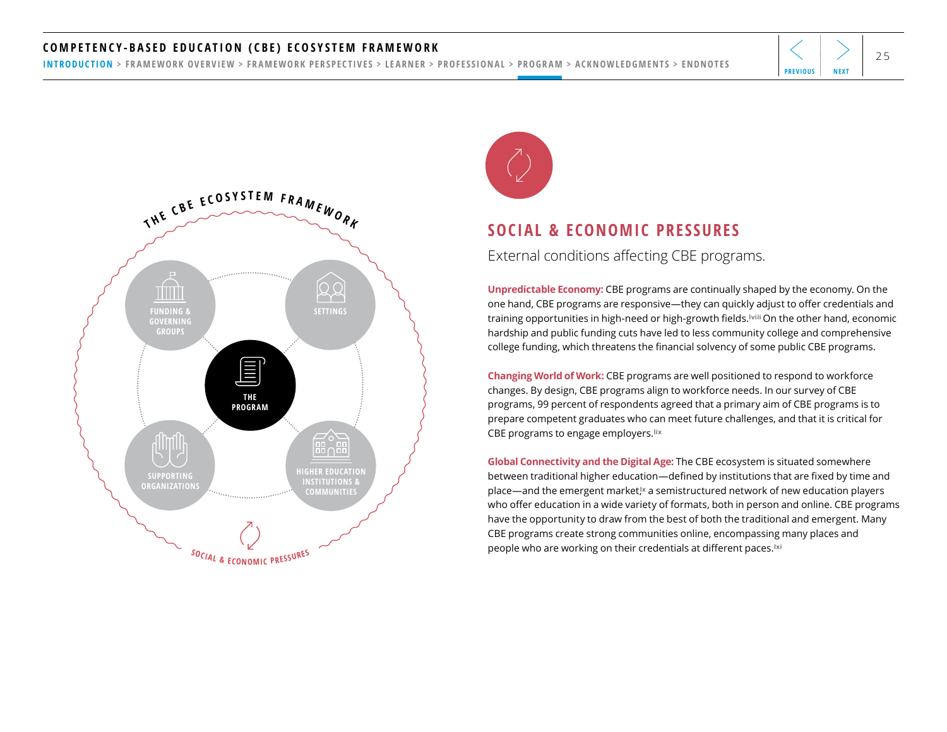#### <span id="page-24-0"></span>COMPETENCY-BASED EDUCATION (CBE) ECOSYSTEM FRAMEWORK  $\left|\left<\right>\right>$   $\right|_{25}$

[INTRODUCTION](#page-1-0) > [FRAMEWORK OVERVIEW](#page-2-0) > [FRAMEWORK PERSPECTIVES](#page-3-0) > [LEARNER](#page-4-0) > [PROFESSIONAL](#page-11-0) > [PROGRAM](#page-18-0) > [ACKNOWLEDGMENTS](#page-25-0) > [ENDNOTES](#page-26-0)





#### **SOCIAL & ECONOMIC PRESSURES**

External conditions affecting CBE programs.

**Unpredictable Economy:** CBE programs are continually shaped by the economy. On the one hand, CBE programs are responsive—they can quickly adjust to offer credentials and training opportunities in high-need or high-growth fields.**[lviii](#page-27-0)** On the other hand, economic hardship and public funding cuts have led to less community college and comprehensive college funding, which threatens the financial solvency of some public CBE programs.

**Changing World of Work:** CBE programs are well positioned to respond to workforce changes. By design, CBE programs align to workforce needs. In our survey of CBE programs, 99 percent of respondents agreed that a primary aim of CBE programs is to prepare competent graduates who can meet future challenges, and that it is critical for CBE programs to engage employers.**[lix](#page-27-0)**

**Global Connectivity and the Digital Age:** The CBE ecosystem is situated somewhere between traditional higher education—defined by institutions that are fixed by time and place—and the emergent market,**[lx](#page-27-0)** a semistructured network of new education players who offer education in a wide variety of formats, both in person and online. CBE programs have the opportunity to draw from the best of both the traditional and emergent. Many CBE programs create strong communities online, encompassing many places and people who are working on their credentials at different paces.**[lxi](#page-27-0)**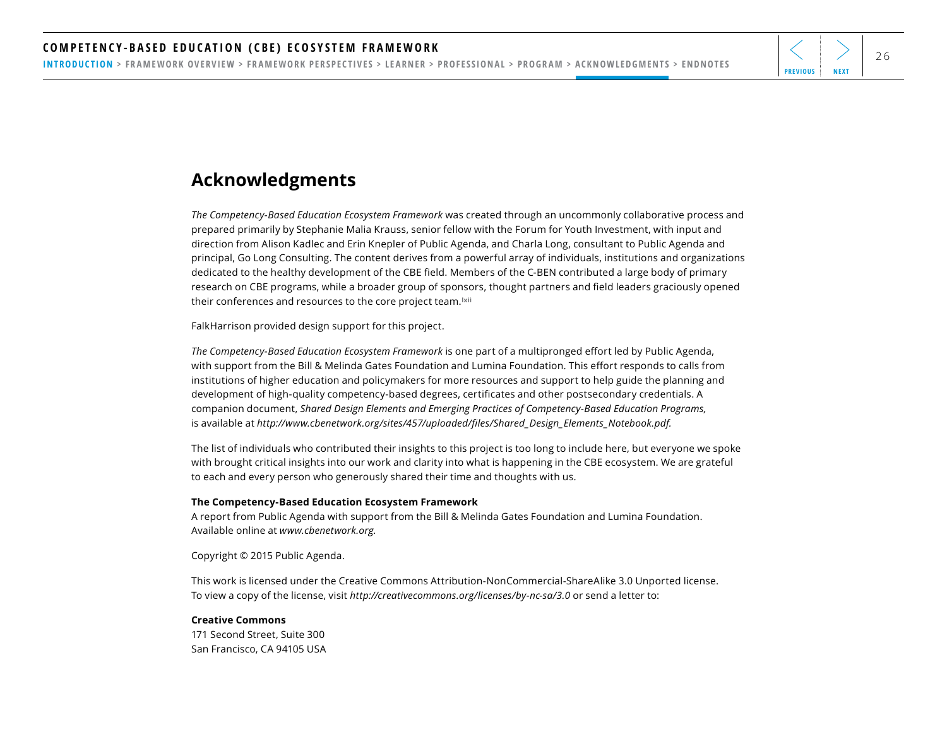<span id="page-25-0"></span>[INTRODUCTION](#page-1-0) > [FRAMEWORK OVERVIEW](#page-2-0) > [FRAMEWORK PERSPECTIVES](#page-3-0) > [LEARNER](#page-4-0) > [PROFESSIONAL](#page-11-0) > [PROGRAM](#page-18-0) > ACKNOWLEDGMENTS > [ENDNOTES](#page-26-0)

## **Acknowledgments**

*The Competency-Based Education Ecosystem Framework* was created through an uncommonly collaborative process and prepared primarily by Stephanie Malia Krauss, senior fellow with the Forum for Youth Investment, with input and direction from Alison Kadlec and Erin Knepler of Public Agenda, and Charla Long, consultant to Public Agenda and principal, Go Long Consulting. The content derives from a powerful array of individuals, institutions and organizations dedicated to the healthy development of the CBE field. Members of the C-BEN contributed a large body of primary research on CBE programs, while a broader group of sponsors, thought partners and field leaders graciously opened their conferences and resources to the core project team.**[lxii](#page-27-0)**

FalkHarrison provided design support for this project.

*The Competency-Based Education Ecosystem Framework* is one part of a multipronged effort led by Public Agenda, with support from the Bill & Melinda Gates Foundation and Lumina Foundation. This effort responds to calls from institutions of higher education and policymakers for more resources and support to help guide the planning and development of high-quality competency-based degrees, certificates and other postsecondary credentials. A companion document, *Shared Design Elements and Emerging Practices of Competency-Based Education Programs,*  is available at *[http://www.cbenetwork.org/sites/457/uploaded/files/Shared\\_Design\\_Elements\\_Notebook.pdf.](http://www.cbenetwork.org/sites/457/uploaded/files/Shared_Design_Elements_Notebook.pdf)* 

The list of individuals who contributed their insights to this project is too long to include here, but everyone we spoke with brought critical insights into our work and clarity into what is happening in the CBE ecosystem. We are grateful to each and every person who generously shared their time and thoughts with us.

#### **The Competency-Based Education Ecosystem Framework**

A report from Public Agenda with support from the Bill & Melinda Gates Foundation and Lumina Foundation. Available online at *[www.cbenetwork.org](http://www.cbenetwork.org).*

Copyright © 2015 Public Agenda.

This work is licensed under the Creative Commons Attribution-NonCommercial-ShareAlike 3.0 Unported license. To view a copy of the license, visit *http://creativecommons.org/licenses/by-nc-sa/3.0* or send a letter to:

#### **Creative Commons**

171 Second Street, Suite 300 San Francisco, CA 94105 USA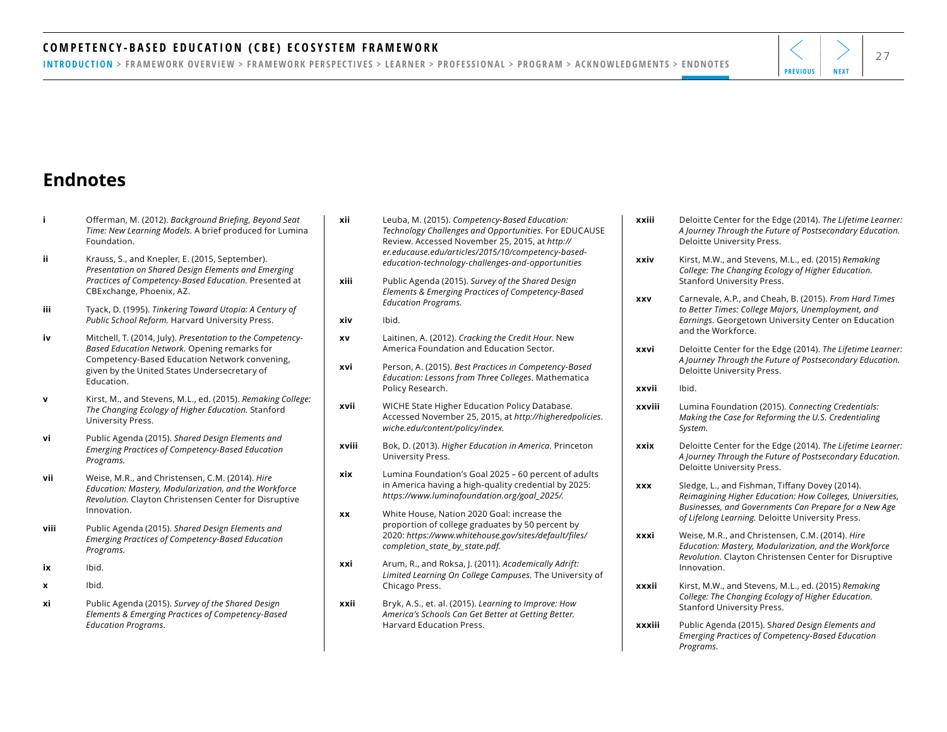#### <span id="page-26-0"></span>COMPETENCY-BASED EDUCATION (CBE) ECOSYSTEM FRAMEWORK  $\left|\left<\right>\right>$   $\right|$

[INTRODUCTION](#page-1-0) > [FRAMEWORK OVERVIEW](#page-2-0) > [FRAMEWORK PERSPECTIVES](#page-3-0) > [LEARNER](#page-4-0) > [PROFESSIONAL](#page-11-0) > [PROGRAM](#page-18-0) > [ACKNOWLEDGMENTS](#page-25-0) > ENDNOTES

## **Endnotes**

- **i** Offerman, M. (2012). *[Background Briefing, Beyond Seat](#page-1-0)  Time: New Learning Models.* [A brief produced for Lumina](#page-1-0)  [Foundation.](#page-1-0)
- **ii** [Krauss, S., and Knepler, E. \(2015, September\).](#page-1-0)  *[Presentation on Shared Design Elements and Emerging](#page-1-0)  [Practices of Competency-Based Education.](#page-1-0)* Presented at [CBExchange, Phoenix, AZ.](#page-1-0)
- **iii** Tyack, D. (1995). *[Tinkering Toward Utopia: A Century of](#page-1-0)  Public School Reform.* [Harvard University Press.](#page-1-0)
- **iv** Mitchell, T. (2014, July). *[Presentation to the Competency-](#page-1-0)[Based Education Network.](#page-1-0)* Opening remarks for [Competency-Based Education Network convening,](#page-1-0)  [given by the United States Undersecretary of](#page-1-0)  [Education.](#page-1-0)
- **v** [Kirst, M., and Stevens, M.L., ed. \(2015\).](#page-1-0) *Remaking College: [The Changing Ecology of Higher Education.](#page-1-0)* Stanford [University Press.](#page-1-0)
- **vi** Public Agenda (2015). *[Shared Design Elements and](#page-5-0)  [Emerging Practices of Competency-Based Education](#page-5-0)  [Programs.](#page-5-0)*
- **vii** [Weise, M.R., and Christensen, C.M. \(2014\).](#page-5-0) *Hire [Education: Mastery, Modularization, and the Workforce](#page-5-0)  Revolution.* [Clayton Christensen Center for Disruptive](#page-5-0)  [Innovation.](#page-5-0)
- **viii** Public Agenda (2015). *[Shared Design Elements and](#page-5-0)  [Emerging Practices of Competency-Based Education](#page-5-0)  [Programs.](#page-5-0)*
- **ix** [Ibid.](#page-5-0)
- **x** [Ibid.](#page-5-0)
- **xi** Public Agenda (2015). *[Survey of the Shared Design](#page-6-0)  [Elements & Emerging Practices of Competency-Based](#page-6-0)  [Education Programs.](#page-6-0)*
- **xii** Leuba, M. (2015). *[Competency-Based Education:](#page-6-0)  [Technology Challenges and Opportunities.](#page-6-0)* For EDUCAUSE [Review. Accessed November 25, 2015, at](#page-6-0) *http:// er.educause.edu/articles/2015/10/competency-basededucation-technology-challenges-and-opportunities*
- **xiii** Public Agenda (2015). *[Survey of the Shared Design](#page-6-0) [Elements & Emerging Practices of Competency-Based](#page-6-0)  [Education Programs.](#page-6-0)*
- **xiv** [Ibid.](#page-7-0)
- **xv** Laitinen, A. (2012). *[Cracking the Credit Hour.](#page-8-0)* New [America Foundation and Education Sector.](#page-8-0)
- **xvi** Person, A. (2015). *[Best Practices in Competency-Based](#page-8-0)  [Education: Lessons from Three Colleges.](#page-8-0)* Mathematica [Policy Research.](#page-8-0)
- **xvii** [WICHE State Higher Education Policy Database.](#page-8-0)  [Accessed November 25, 2015, at](#page-8-0) *[http://higheredpolicies.](http://higheredpolicies.wiche.edu/content/policy/index) [wiche.edu/content/policy/index](http://higheredpolicies.wiche.edu/content/policy/index).*
- **xviii** Bok, D. (2013). *[Higher Education in America.](#page-8-0)* Princeton [University Press.](#page-8-0)
- **xix** [Lumina Foundation's Goal 2025 60 percent of adults](#page-9-0)  [in America having a high-quality credential by 2025:](#page-9-0)  *[https://www.luminafoundation.org/goal\\_2025/.](https://www.luminafoundation.org/goal_2025/)*
- **xx** [White House, Nation 2020 Goal: increase the](#page-9-0)  [proportion of college graduates by 50 percent by](#page-9-0)  [2020:](#page-9-0) *[https://www.whitehouse.gov/sites/default/files/](https://www.whitehouse.gov/sites/default/files/completion_state_by_state.pdf) [completion\\_state\\_by\\_state.pdf](https://www.whitehouse.gov/sites/default/files/completion_state_by_state.pdf).*
- **xxi** [Arum, R., and Roksa, J. \(2011\).](#page-9-0) *Academically Adrift: [Limited Learning On College Campuses.](#page-9-0)* The University of [Chicago Press.](#page-9-0)
- **xxii** Bryk, A.S., et. al. (2015). *[Learning to Improve: How](#page-9-0)  [America's Schools Can Get Better at Getting Better.](#page-9-0)*  [Harvard Education Press.](#page-9-0)
- **xxiii** [Deloitte Center for the Edge \(2014\).](#page-9-0) *The Lifetime Learner: [A Journey Through the Future of Postsecondary Education.](#page-9-0)* [Deloitte University Press.](#page-9-0)
- **xxiv** [Kirst, M.W., and Stevens, M.L., ed. \(2015\)](#page-9-0) *Remaking [College: The Changing Ecology of Higher Education.](#page-9-0)* [Stanford University Press.](#page-9-0)
- **xxv** [Carnevale, A.P., and Cheah, B. \(2015\).](#page-10-0) *From Hard Times [to Better Times: College Majors, Unemployment, and](#page-10-0)  Earnings.* [Georgetown University Center on Education](#page-10-0)  [and the Workforce.](#page-10-0)
- **xxvi** [Deloitte Center for the Edge \(2014\).](#page-10-0) *The Lifetime Learner: [A Journey Through the Future of Postsecondary Education.](#page-10-0)* [Deloitte University Press.](#page-10-0)
- **[xxvii](#page-10-0)** Ibid.
- **xxviii** [Lumina Foundation \(2015\).](#page-10-0) *Connecting Credentials: [Making the Case for Reforming the U.S. Credentialing](#page-10-0)  [System.](#page-10-0)*
- **xxix** [Deloitte Center for the Edge \(2014\).](#page-10-0) *The Lifetime Learner: [A Journey Through the Future of Postsecondary Education.](#page-10-0)* [Deloitte University Press.](#page-10-0)
- **xxx** [Sledge, L., and Fishman, Tiffany Dovey \(2014\).](#page-10-0)  *[Reimagining Higher Education: How Colleges, Universities,](#page-10-0)  [Businesses, and Governments Can Prepare for a New Age](#page-10-0)  of Lifelong Learning.* [Deloitte University Press.](#page-10-0)
- **xxxi** [Weise, M.R., and Christensen, C.M. \(2014\).](#page-10-0) *Hire [Education: Mastery, Modularization, and the Workforce](#page-10-0)  Revolution.* [Clayton Christensen Center for Disruptive](#page-10-0)  [Innovation.](#page-10-0)
- **xxxii** [Kirst, M.W., and Stevens, M.L., ed. \(2015\)](#page-10-0) *Remaking [College: The Changing Ecology of Higher Education.](#page-10-0)*  [Stanford University Press.](#page-10-0)
- **xxxiii** Public Agenda (2015). S*[hared Design Elements and](#page-12-0)  [Emerging Practices of Competency-Based Education](#page-12-0)  [Programs.](#page-12-0)*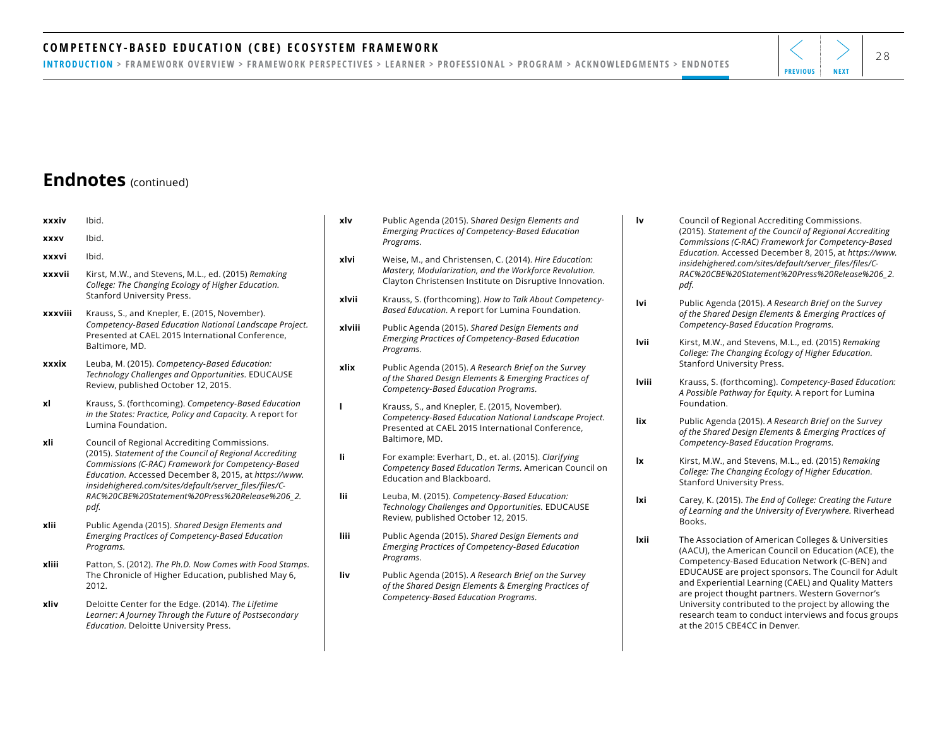#### <span id="page-27-0"></span>COMPETENCY-BASED EDUCATION (CBE) ECOSYSTEM FRAMEWORK  $\left|\left<\right>\right>$   $\right|_{28}$

[INTRODUCTION](#page-1-0) > [FRAMEWORK OVERVIEW](#page-2-0) > [FRAMEWORK PERSPECTIVES](#page-3-0) > [LEARNER](#page-4-0) > [PROFESSIONAL](#page-11-0) > [PROGRAM](#page-18-0) > [ACKNOWLEDGMENTS](#page-25-0) > [ENDNOTES](#page-26-0)

#### **Endnotes** (continued)

| xxxiv       | Ibid.                                                                                                                                                                                                                                                                             | xlv    | Public Agenda (2015). Shared Design Elements and<br><b>Emerging Practices of Competency-Based Education</b><br>Programs.                                                    |
|-------------|-----------------------------------------------------------------------------------------------------------------------------------------------------------------------------------------------------------------------------------------------------------------------------------|--------|-----------------------------------------------------------------------------------------------------------------------------------------------------------------------------|
| <b>XXXV</b> | Ibid.                                                                                                                                                                                                                                                                             |        |                                                                                                                                                                             |
| xxxvi       | Ibid.                                                                                                                                                                                                                                                                             | xlvi   | Weise, M., and Christensen, C. (2014). Hire Education:<br>Mastery, Modularization, and the Workforce Revolution.<br>Clayton Christensen Institute on Disruptive Innovation. |
| xxxvii      | Kirst, M.W., and Stevens, M.L., ed. (2015) Remaking<br>College: The Changing Ecology of Higher Education.                                                                                                                                                                         |        |                                                                                                                                                                             |
| xxxviii     | Stanford University Press.<br>Krauss, S., and Knepler, E. (2015, November).                                                                                                                                                                                                       | xlvii  | Krauss, S. (forthcoming). How to Talk About Competency-<br>Based Education. A report for Lumina Foundation.                                                                 |
|             | Competency-Based Education National Landscape Project.<br>Presented at CAEL 2015 International Conference,<br>Baltimore, MD.                                                                                                                                                      | xlviii | Public Agenda (2015). Shared Design Elements and<br><b>Emerging Practices of Competency-Based Education</b><br>Programs.                                                    |
| xxxix       | Leuba, M. (2015). Competency-Based Education:<br>Technology Challenges and Opportunities. EDUCAUSE<br>Review, published October 12, 2015.                                                                                                                                         | xlix   | Public Agenda (2015). A Research Brief on the Survey<br>of the Shared Design Elements & Emerging Practices of<br>Competency-Based Education Programs.                       |
| xl          | Krauss, S. (forthcoming). Competency-Based Education<br>in the States: Practice, Policy and Capacity. A report for<br>Lumina Foundation.                                                                                                                                          | ı      | Krauss, S., and Knepler, E. (2015, November).<br>Competency-Based Education National Landscape Project.<br>Presented at CAEL 2015 International Conference,                 |
| xli         | Council of Regional Accrediting Commissions.<br>(2015). Statement of the Council of Regional Accrediting<br>Commissions (C-RAC) Framework for Competency-Based<br>Education. Accessed December 8, 2015, at https://www.<br>insidehighered.com/sites/default/server_files/files/C- | li.    | Baltimore, MD.<br>For example: Everhart, D., et. al. (2015). Clarifying<br>Competency Based Education Terms. American Council on<br>Education and Blackboard.               |
|             | RAC%20CBE%20Statement%20Press%20Release%206_2.<br>pdf.                                                                                                                                                                                                                            | lii    | Leuba, M. (2015). Competency-Based Education:<br>Technology Challenges and Opportunities. EDUCAUSE<br>Review, published October 12, 2015.                                   |
| xlii        | Public Agenda (2015). Shared Design Elements and<br><b>Emerging Practices of Competency-Based Education</b><br>Programs.                                                                                                                                                          | liii   | Public Agenda (2015). Shared Design Elements and<br><b>Emerging Practices of Competency-Based Education</b><br>Programs.                                                    |
| xliii       | Patton, S. (2012). The Ph.D. Now Comes with Food Stamps.<br>The Chronicle of Higher Education, published May 6,<br>2012.                                                                                                                                                          | liv    | Public Agenda (2015). A Research Brief on the Survey<br>of the Shared Design Elements & Emerging Practices of<br>Competency-Based Education Programs.                       |
| xliv        | Deloitte Center for the Edge. (2014). The Lifetime<br>Learner: A Journey Through the Future of Postsecondary<br>Education. Deloitte University Press.                                                                                                                             |        |                                                                                                                                                                             |
|             |                                                                                                                                                                                                                                                                                   |        |                                                                                                                                                                             |

**lv** [Council of Regional Accrediting Commissions.](#page-22-0)  (2015). *[Statement of the Council of Regional Accrediting](#page-22-0)  [Commissions \(C-RAC\) Framework for Competency-Based](#page-22-0)  Education.* [Accessed December 8, 2015, at](#page-22-0) *[https://www.](https://www.insidehighered.com/sites/default/server_files/files/C-RAC%20CBE%20Statement%20Press%20Release%206_2.pdf) [insidehighered.com/sites/default/server\\_files/files/C-](https://www.insidehighered.com/sites/default/server_files/files/C-RAC%20CBE%20Statement%20Press%20Release%206_2.pdf)[RAC%20CBE%20Statement%20Press%20Release%206\\_2.](https://www.insidehighered.com/sites/default/server_files/files/C-RAC%20CBE%20Statement%20Press%20Release%206_2.pdf) [pdf.](https://www.insidehighered.com/sites/default/server_files/files/C-RAC%20CBE%20Statement%20Press%20Release%206_2.pdf)*

**lvi** Public Agenda (2015). *[A Research Brief on the Survey](#page-22-0)  [of the Shared Design Elements & Emerging Practices of](#page-22-0)  [Competency-Based Education Programs.](#page-22-0)* 

**lvii** [Kirst, M.W., and Stevens, M.L., ed. \(2015\)](#page-23-0) *Remaking [College: The Changing Ecology of Higher Education.](#page-23-0)*  [Stanford University Press.](#page-23-0)

**lviii** Krauss, S. (forthcoming). *[Competency-Based Education:](#page-24-0)  [A Possible Pathway for Equity.](#page-24-0)* A report for Lumina [Foundation.](#page-24-0) 

**lix** Public Agenda (2015). *[A Research Brief on the Survey](#page-24-0)  [of the Shared Design Elements & Emerging Practices of](#page-24-0)  [Competency-Based Education Programs.](#page-24-0)*

**lx** [Kirst, M.W., and Stevens, M.L., ed. \(2015\)](#page-24-0) *Remaking [College: The Changing Ecology of Higher Education.](#page-24-0)* [Stanford University Press.](#page-24-0)

**lxi** Carey, K. (2015). *[The End of College: Creating the Future](#page-24-0)  [of Learning and the University of Everywhere.](#page-24-0)* Riverhead [Books.](#page-24-0)

**lxii** [The Association of American Colleges & Universities](#page-25-0)  [\(AACU\), the American Council on Education \(ACE\), the](#page-25-0)  [Competency-Based Education Network \(C-BEN\) and](#page-25-0)  [EDUCAUSE are project sponsors. The Council for Adult](#page-25-0)  [and Experiential Learning \(CAEL\) and Quality Matters](#page-25-0)  [are project thought partners. Western Governor's](#page-25-0)  [University contributed to the project by allowing the](#page-25-0)  [research team to conduct interviews and focus groups](#page-25-0)  [at the 2015 CBE4CC in Denver.](#page-25-0)